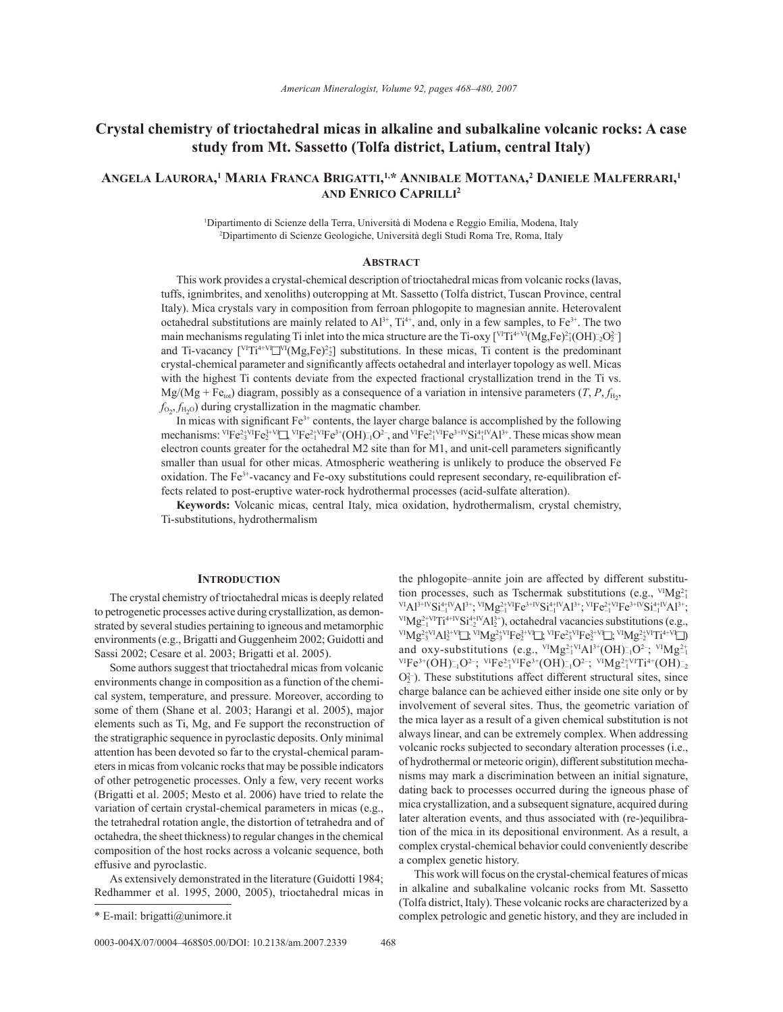# **Crystal chemistry of trioctahedral micas in alkaline and subalkaline volcanic rocks: A case study from Mt. Sassetto (Tolfa district, Latium, central Italy)**

## **ANGELA LAURORA, 1 MARIA FRANCA BRIGATTI, 1,\* ANNIBALE MOTTANA, 2 DANIELE MALFERRARI, 1 AND ENRICO CAPRILLI2**

1 Dipartimento di Scienze della Terra, Università di Modena e Reggio Emilia, Modena, Italy 2 Dipartimento di Scienze Geologiche, Università degli Studi Roma Tre, Roma, Italy

## **ABSTRACT**

This work provides a crystal-chemical description of trioctahedral micas from volcanic rocks (lavas, tuffs, ignimbrites, and xenoliths) outcropping at Mt. Sassetto (Tolfa district, Tuscan Province, central Italy). Mica crystals vary in composition from ferroan phlogopite to magnesian annite. Heterovalent octahedral substitutions are mainly related to  $Al^{3+}$ ,  $Ti^{4+}$ , and, only in a few samples, to Fe<sup>3+</sup>. The two main mechanisms regulating Ti inlet into the mica structure are the Ti-oxy [ $VTTi^{4+VI}(Mg,Fe)^{2+1}(OH)=2O^{2-1}$ ] and Ti-vacancy  $\left[ \right]^{V[T]^{4+}V} \left[ \right]^{V[T]} (Mg,Fe)^{2+}_{2}$  substitutions. In these micas, Ti content is the predominant crystal-chemical parameter and significantly affects octahedral and interlayer topology as well. Micas with the highest Ti contents deviate from the expected fractional crystallization trend in the Ti vs.  $Mg/(Mg + Fe<sub>tot</sub>)$  diagram, possibly as a consequence of a variation in intensive parameters (*T*, *P*,  $f<sub>H<sub>2</sub></sub>$ ,  $f_{O_2}, f_{H_2O}$  during crystallization in the magmatic chamber.

In micas with significant  $Fe<sup>3+</sup>$  contents, the layer charge balance is accomplished by the following mechanisms:  $V^IFe^{2+VI}Fe^{3+VI}Fe^{2+VI}Fe^{3+}(OH)_{-1}O^{2-}$ , and  $V^IFe^{2+VI}Fe^{3+IV}Si^{4+IV}Al^{3+}$ . These micas show mean electron counts greater for the octahedral  $M2$  site than for  $M1$ , and unit-cell parameters significantly smaller than usual for other micas. Atmospheric weathering is unlikely to produce the observed Fe oxidation. The Fe3+-vacancy and Fe-oxy substitutions could represent secondary, re-equilibration effects related to post-eruptive water-rock hydrothermal processes (acid-sulfate alteration).

**Keywords:** Volcanic micas, central Italy, mica oxidation, hydrothermalism, crystal chemistry, Ti-substitutions, hydrothermalism

#### **INTRODUCTION**

The crystal chemistry of trioctahedral micas is deeply related to petrogenetic processes active during crystallization, as demonstrated by several studies pertaining to igneous and metamorphic environments (e.g., Brigatti and Guggenheim 2002; Guidotti and Sassi 2002; Cesare et al. 2003; Brigatti et al. 2005).

Some authors suggest that trioctahedral micas from volcanic environments change in composition as a function of the chemical system, temperature, and pressure. Moreover, according to some of them (Shane et al. 2003; Harangi et al. 2005), major elements such as Ti, Mg, and Fe support the reconstruction of the stratigraphic sequence in pyroclastic deposits. Only minimal attention has been devoted so far to the crystal-chemical parameters in micas from volcanic rocks that may be possible indicators of other petrogenetic processes. Only a few, very recent works (Brigatti et al. 2005; Mesto et al. 2006) have tried to relate the variation of certain crystal-chemical parameters in micas (e.g., the tetrahedral rotation angle, the distortion of tetrahedra and of octahedra, the sheet thickness) to regular changes in the chemical composition of the host rocks across a volcanic sequence, both effusive and pyroclastic.

As extensively demonstrated in the literature (Guidotti 1984; Redhammer et al. 1995, 2000, 2005), trioctahedral micas in the phlogopite–annite join are affected by different substitution processes, such as Tschermak substitutions (e.g.,  $V^{I}Mg_{-1}^{2+}$  $\rm VIA1^{3+IV}Si^{4+IV}_{-1}Al^{3+},~^{VI}Mg^{2+VI}_{-1}Fe^{3+IV}Si^{4+IV}_{-1}Al^{3+},~^{VI}Fe^{2+VI}Fe^{3+IV}Si^{4+IV}_{-1}$ <sup>VI</sup>Al<sup>3+IV</sup>Si<sup>4+IV</sup>Al<sup>3+</sup>; <sup>VI</sup>Mg<sup>2+VI</sup>Fe<sup>3+IV</sup>Si<sup>4+IV</sup>Al<sup>3+</sup>; <sup>VI</sup>Fe<sup>2+VI</sup>Fe<sup>3+IV</sup>Si<sup>4+IV</sup>Al<sup>3+</sup>;<br><sup>VI</sup>Mg<sup>2+VI</sup>Ti<sup>4+IV</sup>Si<sup>4+IV</sup>Al<sup>3+</sup>), octahedral vacancies substitutions (e.g., <sup>v</sup>!Mg<sup>2+</sup><sup>vI</sup>Ti<sup>4+IV</sup>Si<sup>4+IV</sup>Al<sup>3+</sup>), octahedral vacancies substitutions (e.g.,<br><sup>vI</sup>Mg<sup>2+</sup><sup>vI</sup>Al<sup>3+V</sup>□; <sup>vI</sup>Mg<sup>2+</sup><sup>vI</sup>Fe<sup>3+V</sup>□; <sup>vI</sup>Fe<sup>2+V</sup><sup>I</sup>E; <sup>vI</sup>Mg<sup>2+</sup><sup>vI</sup>Ti<sup>4+V</sup>□) and oxy-substitutions (e.g.,  $V^{I}Mg_{-1}^{2+VI}Al^{3+}(OH)_{-1}^{-}O^{2-}$ ;  $V^{I}Mg_{-1}^{2+}$  ${}^{VIF}e^{3+}({\rm OH})_{-1}^{-}O^{2-}$ ;  ${}^{VIF}e^{2+}VIFe^{3+}({\rm OH})_{-1}^{-}O^{2-}$ ;  ${}^{VIH}Mg_{-1}^{2+}VITi^{4+}({\rm OH})_{-2}^{-}$  $O_2^2$ ). These substitutions affect different structural sites, since charge balance can be achieved either inside one site only or by involvement of several sites. Thus, the geometric variation of the mica layer as a result of a given chemical substitution is not always linear, and can be extremely complex. When addressing volcanic rocks subjected to secondary alteration processes (i.e., of hydrothermal or meteoric origin), different substitution mechanisms may mark a discrimination between an initial signature, dating back to processes occurred during the igneous phase of mica crystallization, and a subsequent signature, acquired during later alteration events, and thus associated with (re-)equilibration of the mica in its depositional environment. As a result, a complex crystal-chemical behavior could conveniently describe a complex genetic history.

This work will focus on the crystal-chemical features of micas in alkaline and subalkaline volcanic rocks from Mt. Sassetto (Tolfa district, Italy). These volcanic rocks are characterized by a \* E-mail: brigatti@unimore.it complex petrologic and genetic history, and they are included in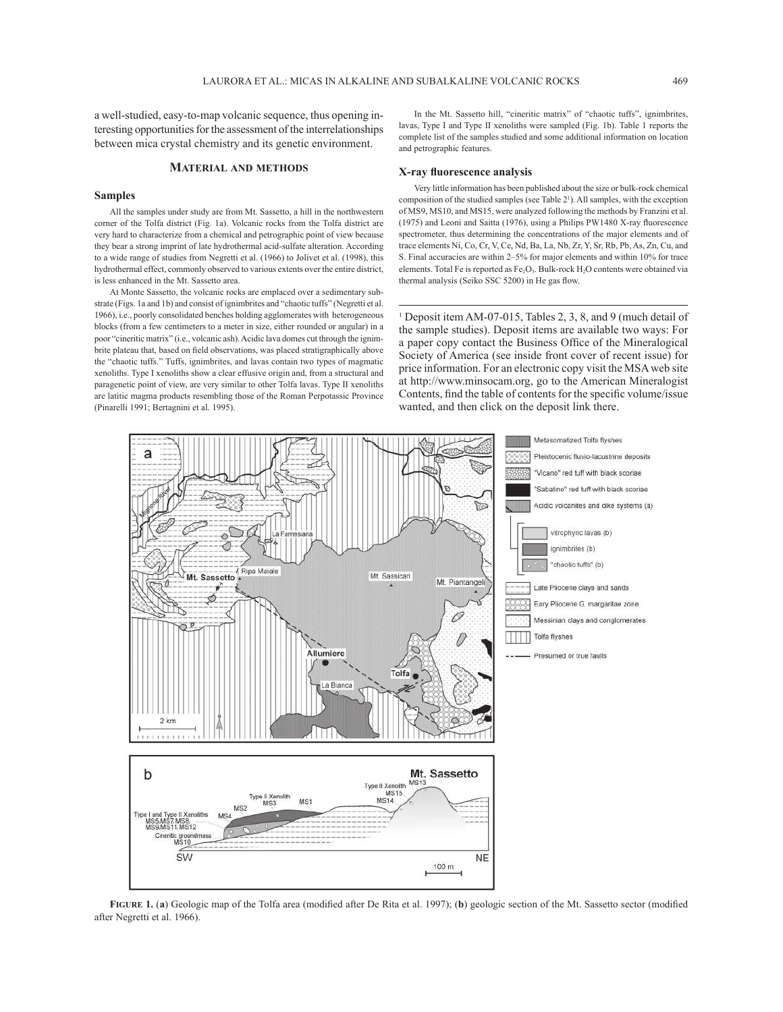a well-studied, easy-to-map volcanic sequence, thus opening interesting opportunities for the assessment of the interrelationships between mica crystal chemistry and its genetic environment.

## **MATERIAL AND METHODS**

## **Samples**

All the samples under study are from Mt. Sassetto, a hill in the northwestern corner of the Tolfa district (Fig. 1a). Volcanic rocks from the Tolfa district are very hard to characterize from a chemical and petrographic point of view because they bear a strong imprint of late hydrothermal acid-sulfate alteration. According to a wide range of studies from Negretti et al. (1966) to Jolivet et al. (1998), this hydrothermal effect, commonly observed to various extents over the entire district, is less enhanced in the Mt. Sassetto area.

At Monte Sassetto, the volcanic rocks are emplaced over a sedimentary substrate (Figs. 1a and 1b) and consist of ignimbrites and "chaotic tuffs" (Negretti et al. 1966), i.e., poorly consolidated benches holding agglomerates with heterogeneous blocks (from a few centimeters to a meter in size, either rounded or angular) in a poor "cineritic matrix" (i.e., volcanic ash). Acidic lava domes cut through the ignimbrite plateau that, based on field observations, was placed stratigraphically above the "chaotic tuffs." Tuffs, ignimbrites, and lavas contain two types of magmatic xenoliths. Type I xenoliths show a clear effusive origin and, from a structural and paragenetic point of view, are very similar to other Tolfa lavas. Type II xenoliths are latitic magma products resembling those of the Roman Perpotassic Province (Pinarelli 1991; Bertagnini et al. 1995).

In the Mt. Sassetto hill, "cineritic matrix" of "chaotic tuffs", ignimbrites, lavas, Type I and Type II xenoliths were sampled (Fig. 1b). Table 1 reports the complete list of the samples studied and some additional information on location and petrographic features.

#### **X-ray fl uorescence analysis**

Very little information has been published about the size or bulk-rock chemical composition of the studied samples (see Table 21 ). All samples, with the exception of MS9, MS10, and MS15, were analyzed following the methods by Franzini et al. (1975) and Leoni and Saitta (1976), using a Philips PW1480 X-ray fluorescence spectrometer, thus determining the concentrations of the major elements and of trace elements Ni, Co, Cr, V, Ce, Nd, Ba, La, Nb, Zr, Y, Sr, Rb, Pb, As, Zn, Cu, and S. Final accuracies are within 2–5% for major elements and within 10% for trace elements. Total Fe is reported as Fe<sub>2</sub>O<sub>3</sub>. Bulk-rock H<sub>2</sub>O contents were obtained via thermal analysis (Seiko SSC 5200) in He gas flow.

<sup>1</sup> Deposit item AM-07-015, Tables 2, 3, 8, and 9 (much detail of the sample studies). Deposit items are available two ways: For a paper copy contact the Business Office of the Mineralogical Society of America (see inside front cover of recent issue) for price information. For an electronic copy visit the MSA web site at http://www.minsocam.org, go to the American Mineralogist Contents, find the table of contents for the specific volume/issue wanted, and then click on the deposit link there.



**FIGURE 1.** (a) Geologic map of the Tolfa area (modified after De Rita et al. 1997); (b) geologic section of the Mt. Sassetto sector (modified after Negretti et al. 1966).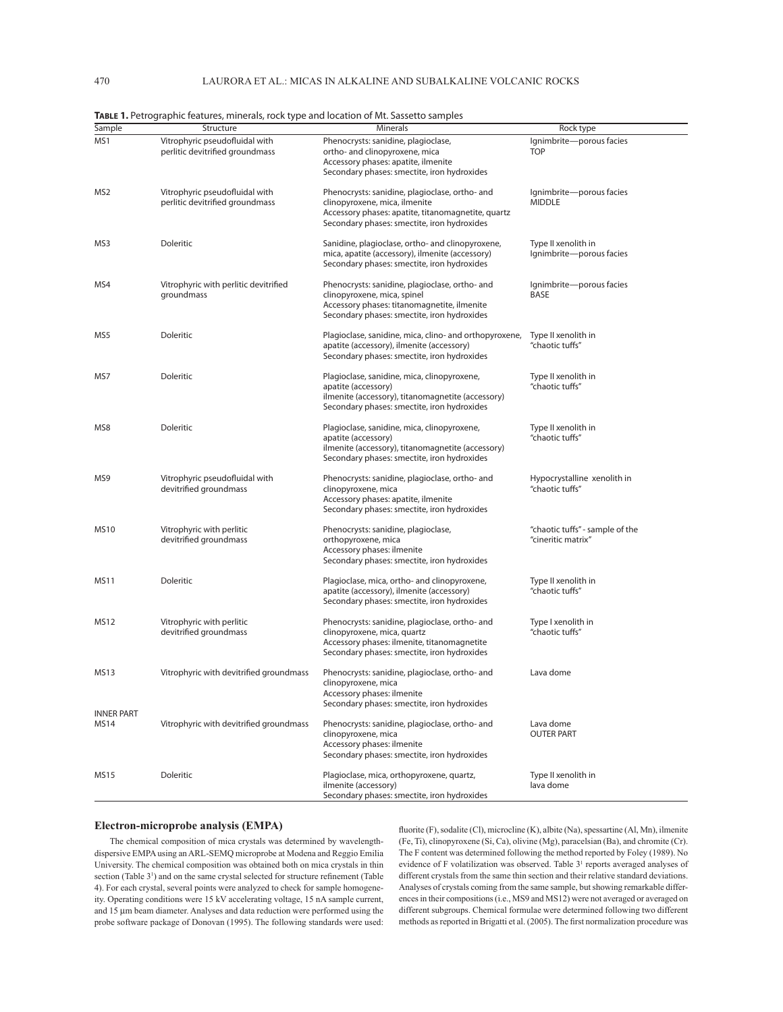| MS1<br>Vitrophyric pseudofluidal with<br>Phenocrysts: sanidine, plagioclase,<br>Ignimbrite-porous facies<br>perlitic devitrified groundmass<br><b>TOP</b><br>ortho- and clinopyroxene, mica<br>Accessory phases: apatite, ilmenite<br>Secondary phases: smectite, iron hydroxides<br>Vitrophyric pseudofluidal with<br>Phenocrysts: sanidine, plagioclase, ortho- and<br>MS2<br>Ignimbrite-porous facies<br>perlitic devitrified groundmass<br>clinopyroxene, mica, ilmenite<br><b>MIDDLE</b><br>Accessory phases: apatite, titanomagnetite, quartz<br>Secondary phases: smectite, iron hydroxides<br>MS3<br>Doleritic<br>Sanidine, plagioclase, ortho- and clinopyroxene,<br>Type II xenolith in<br>mica, apatite (accessory), ilmenite (accessory)<br>Ignimbrite-porous facies<br>Secondary phases: smectite, iron hydroxides<br>Vitrophyric with perlitic devitrified<br>Phenocrysts: sanidine, plagioclase, ortho- and<br>MS4<br>Ignimbrite-porous facies<br>groundmass<br>clinopyroxene, mica, spinel<br>BASE<br>Accessory phases: titanomagnetite, ilmenite<br>Secondary phases: smectite, iron hydroxides<br>MS5<br>Doleritic<br>Plagioclase, sanidine, mica, clino- and orthopyroxene,<br>Type II xenolith in<br>apatite (accessory), ilmenite (accessory)<br>"chaotic tuffs"<br>Secondary phases: smectite, iron hydroxides<br><b>Doleritic</b><br>Plagioclase, sanidine, mica, clinopyroxene,<br>MS7<br>Type II xenolith in<br>apatite (accessory)<br>"chaotic tuffs"<br>ilmenite (accessory), titanomagnetite (accessory)<br>Secondary phases: smectite, iron hydroxides<br>Doleritic<br>MS8<br>Plagioclase, sanidine, mica, clinopyroxene,<br>Type II xenolith in<br>"chaotic tuffs"<br>apatite (accessory)<br>ilmenite (accessory), titanomagnetite (accessory)<br>Secondary phases: smectite, iron hydroxides<br>MS9<br>Vitrophyric pseudofluidal with<br>Phenocrysts: sanidine, plagioclase, ortho- and<br>Hypocrystalline xenolith in<br>"chaotic tuffs"<br>devitrified groundmass<br>clinopyroxene, mica<br>Accessory phases: apatite, ilmenite<br>Secondary phases: smectite, iron hydroxides<br><b>MS10</b><br>Vitrophyric with perlitic<br>Phenocrysts: sanidine, plagioclase,<br>"chaotic tuffs" - sample of the<br>"cineritic matrix"<br>devitrified groundmass<br>orthopyroxene, mica<br>Accessory phases: ilmenite<br>Secondary phases: smectite, iron hydroxides<br><b>MS11</b><br>Doleritic<br>Plagioclase, mica, ortho- and clinopyroxene,<br>Type II xenolith in<br>apatite (accessory), ilmenite (accessory)<br>"chaotic tuffs"<br>Secondary phases: smectite, iron hydroxides<br><b>MS12</b><br>Vitrophyric with perlitic<br>Phenocrysts: sanidine, plagioclase, ortho- and<br>Type I xenolith in<br>devitrified groundmass<br>clinopyroxene, mica, quartz<br>"chaotic tuffs"<br>Accessory phases: ilmenite, titanomagnetite<br>Secondary phases: smectite, iron hydroxides<br><b>MS13</b><br>Vitrophyric with devitrified groundmass<br>Phenocrysts: sanidine, plagioclase, ortho- and<br>Lava dome<br>clinopyroxene, mica<br>Accessory phases: ilmenite<br>Secondary phases: smectite, iron hydroxides<br><b>INNER PART</b><br>Vitrophyric with devitrified groundmass<br>Phenocrysts: sanidine, plagioclase, ortho- and<br>Lava dome<br>MS14<br>clinopyroxene, mica<br><b>OUTER PART</b><br>Accessory phases: ilmenite<br>Secondary phases: smectite, iron hydroxides<br><b>MS15</b><br>Doleritic<br>Plagioclase, mica, orthopyroxene, quartz,<br>Type II xenolith in<br>ilmenite (accessory)<br>lava dome |        |           |                                             |           |
|---------------------------------------------------------------------------------------------------------------------------------------------------------------------------------------------------------------------------------------------------------------------------------------------------------------------------------------------------------------------------------------------------------------------------------------------------------------------------------------------------------------------------------------------------------------------------------------------------------------------------------------------------------------------------------------------------------------------------------------------------------------------------------------------------------------------------------------------------------------------------------------------------------------------------------------------------------------------------------------------------------------------------------------------------------------------------------------------------------------------------------------------------------------------------------------------------------------------------------------------------------------------------------------------------------------------------------------------------------------------------------------------------------------------------------------------------------------------------------------------------------------------------------------------------------------------------------------------------------------------------------------------------------------------------------------------------------------------------------------------------------------------------------------------------------------------------------------------------------------------------------------------------------------------------------------------------------------------------------------------------------------------------------------------------------------------------------------------------------------------------------------------------------------------------------------------------------------------------------------------------------------------------------------------------------------------------------------------------------------------------------------------------------------------------------------------------------------------------------------------------------------------------------------------------------------------------------------------------------------------------------------------------------------------------------------------------------------------------------------------------------------------------------------------------------------------------------------------------------------------------------------------------------------------------------------------------------------------------------------------------------------------------------------------------------------------------------------------------------------------------------------------------------------------------------------------------------------------------------------------------------------------------------------------------------------------------------------------------------------------------------------------------------------------------------------------------------------------------------------------------------------------------------------------|--------|-----------|---------------------------------------------|-----------|
|                                                                                                                                                                                                                                                                                                                                                                                                                                                                                                                                                                                                                                                                                                                                                                                                                                                                                                                                                                                                                                                                                                                                                                                                                                                                                                                                                                                                                                                                                                                                                                                                                                                                                                                                                                                                                                                                                                                                                                                                                                                                                                                                                                                                                                                                                                                                                                                                                                                                                                                                                                                                                                                                                                                                                                                                                                                                                                                                                                                                                                                                                                                                                                                                                                                                                                                                                                                                                                                                                                                                             | Sample | Structure | Minerals                                    | Rock type |
|                                                                                                                                                                                                                                                                                                                                                                                                                                                                                                                                                                                                                                                                                                                                                                                                                                                                                                                                                                                                                                                                                                                                                                                                                                                                                                                                                                                                                                                                                                                                                                                                                                                                                                                                                                                                                                                                                                                                                                                                                                                                                                                                                                                                                                                                                                                                                                                                                                                                                                                                                                                                                                                                                                                                                                                                                                                                                                                                                                                                                                                                                                                                                                                                                                                                                                                                                                                                                                                                                                                                             |        |           |                                             |           |
|                                                                                                                                                                                                                                                                                                                                                                                                                                                                                                                                                                                                                                                                                                                                                                                                                                                                                                                                                                                                                                                                                                                                                                                                                                                                                                                                                                                                                                                                                                                                                                                                                                                                                                                                                                                                                                                                                                                                                                                                                                                                                                                                                                                                                                                                                                                                                                                                                                                                                                                                                                                                                                                                                                                                                                                                                                                                                                                                                                                                                                                                                                                                                                                                                                                                                                                                                                                                                                                                                                                                             |        |           |                                             |           |
|                                                                                                                                                                                                                                                                                                                                                                                                                                                                                                                                                                                                                                                                                                                                                                                                                                                                                                                                                                                                                                                                                                                                                                                                                                                                                                                                                                                                                                                                                                                                                                                                                                                                                                                                                                                                                                                                                                                                                                                                                                                                                                                                                                                                                                                                                                                                                                                                                                                                                                                                                                                                                                                                                                                                                                                                                                                                                                                                                                                                                                                                                                                                                                                                                                                                                                                                                                                                                                                                                                                                             |        |           |                                             |           |
|                                                                                                                                                                                                                                                                                                                                                                                                                                                                                                                                                                                                                                                                                                                                                                                                                                                                                                                                                                                                                                                                                                                                                                                                                                                                                                                                                                                                                                                                                                                                                                                                                                                                                                                                                                                                                                                                                                                                                                                                                                                                                                                                                                                                                                                                                                                                                                                                                                                                                                                                                                                                                                                                                                                                                                                                                                                                                                                                                                                                                                                                                                                                                                                                                                                                                                                                                                                                                                                                                                                                             |        |           |                                             |           |
|                                                                                                                                                                                                                                                                                                                                                                                                                                                                                                                                                                                                                                                                                                                                                                                                                                                                                                                                                                                                                                                                                                                                                                                                                                                                                                                                                                                                                                                                                                                                                                                                                                                                                                                                                                                                                                                                                                                                                                                                                                                                                                                                                                                                                                                                                                                                                                                                                                                                                                                                                                                                                                                                                                                                                                                                                                                                                                                                                                                                                                                                                                                                                                                                                                                                                                                                                                                                                                                                                                                                             |        |           |                                             |           |
|                                                                                                                                                                                                                                                                                                                                                                                                                                                                                                                                                                                                                                                                                                                                                                                                                                                                                                                                                                                                                                                                                                                                                                                                                                                                                                                                                                                                                                                                                                                                                                                                                                                                                                                                                                                                                                                                                                                                                                                                                                                                                                                                                                                                                                                                                                                                                                                                                                                                                                                                                                                                                                                                                                                                                                                                                                                                                                                                                                                                                                                                                                                                                                                                                                                                                                                                                                                                                                                                                                                                             |        |           |                                             |           |
|                                                                                                                                                                                                                                                                                                                                                                                                                                                                                                                                                                                                                                                                                                                                                                                                                                                                                                                                                                                                                                                                                                                                                                                                                                                                                                                                                                                                                                                                                                                                                                                                                                                                                                                                                                                                                                                                                                                                                                                                                                                                                                                                                                                                                                                                                                                                                                                                                                                                                                                                                                                                                                                                                                                                                                                                                                                                                                                                                                                                                                                                                                                                                                                                                                                                                                                                                                                                                                                                                                                                             |        |           |                                             |           |
|                                                                                                                                                                                                                                                                                                                                                                                                                                                                                                                                                                                                                                                                                                                                                                                                                                                                                                                                                                                                                                                                                                                                                                                                                                                                                                                                                                                                                                                                                                                                                                                                                                                                                                                                                                                                                                                                                                                                                                                                                                                                                                                                                                                                                                                                                                                                                                                                                                                                                                                                                                                                                                                                                                                                                                                                                                                                                                                                                                                                                                                                                                                                                                                                                                                                                                                                                                                                                                                                                                                                             |        |           |                                             |           |
|                                                                                                                                                                                                                                                                                                                                                                                                                                                                                                                                                                                                                                                                                                                                                                                                                                                                                                                                                                                                                                                                                                                                                                                                                                                                                                                                                                                                                                                                                                                                                                                                                                                                                                                                                                                                                                                                                                                                                                                                                                                                                                                                                                                                                                                                                                                                                                                                                                                                                                                                                                                                                                                                                                                                                                                                                                                                                                                                                                                                                                                                                                                                                                                                                                                                                                                                                                                                                                                                                                                                             |        |           |                                             |           |
|                                                                                                                                                                                                                                                                                                                                                                                                                                                                                                                                                                                                                                                                                                                                                                                                                                                                                                                                                                                                                                                                                                                                                                                                                                                                                                                                                                                                                                                                                                                                                                                                                                                                                                                                                                                                                                                                                                                                                                                                                                                                                                                                                                                                                                                                                                                                                                                                                                                                                                                                                                                                                                                                                                                                                                                                                                                                                                                                                                                                                                                                                                                                                                                                                                                                                                                                                                                                                                                                                                                                             |        |           |                                             |           |
|                                                                                                                                                                                                                                                                                                                                                                                                                                                                                                                                                                                                                                                                                                                                                                                                                                                                                                                                                                                                                                                                                                                                                                                                                                                                                                                                                                                                                                                                                                                                                                                                                                                                                                                                                                                                                                                                                                                                                                                                                                                                                                                                                                                                                                                                                                                                                                                                                                                                                                                                                                                                                                                                                                                                                                                                                                                                                                                                                                                                                                                                                                                                                                                                                                                                                                                                                                                                                                                                                                                                             |        |           |                                             |           |
|                                                                                                                                                                                                                                                                                                                                                                                                                                                                                                                                                                                                                                                                                                                                                                                                                                                                                                                                                                                                                                                                                                                                                                                                                                                                                                                                                                                                                                                                                                                                                                                                                                                                                                                                                                                                                                                                                                                                                                                                                                                                                                                                                                                                                                                                                                                                                                                                                                                                                                                                                                                                                                                                                                                                                                                                                                                                                                                                                                                                                                                                                                                                                                                                                                                                                                                                                                                                                                                                                                                                             |        |           |                                             |           |
|                                                                                                                                                                                                                                                                                                                                                                                                                                                                                                                                                                                                                                                                                                                                                                                                                                                                                                                                                                                                                                                                                                                                                                                                                                                                                                                                                                                                                                                                                                                                                                                                                                                                                                                                                                                                                                                                                                                                                                                                                                                                                                                                                                                                                                                                                                                                                                                                                                                                                                                                                                                                                                                                                                                                                                                                                                                                                                                                                                                                                                                                                                                                                                                                                                                                                                                                                                                                                                                                                                                                             |        |           |                                             |           |
|                                                                                                                                                                                                                                                                                                                                                                                                                                                                                                                                                                                                                                                                                                                                                                                                                                                                                                                                                                                                                                                                                                                                                                                                                                                                                                                                                                                                                                                                                                                                                                                                                                                                                                                                                                                                                                                                                                                                                                                                                                                                                                                                                                                                                                                                                                                                                                                                                                                                                                                                                                                                                                                                                                                                                                                                                                                                                                                                                                                                                                                                                                                                                                                                                                                                                                                                                                                                                                                                                                                                             |        |           |                                             |           |
|                                                                                                                                                                                                                                                                                                                                                                                                                                                                                                                                                                                                                                                                                                                                                                                                                                                                                                                                                                                                                                                                                                                                                                                                                                                                                                                                                                                                                                                                                                                                                                                                                                                                                                                                                                                                                                                                                                                                                                                                                                                                                                                                                                                                                                                                                                                                                                                                                                                                                                                                                                                                                                                                                                                                                                                                                                                                                                                                                                                                                                                                                                                                                                                                                                                                                                                                                                                                                                                                                                                                             |        |           |                                             |           |
|                                                                                                                                                                                                                                                                                                                                                                                                                                                                                                                                                                                                                                                                                                                                                                                                                                                                                                                                                                                                                                                                                                                                                                                                                                                                                                                                                                                                                                                                                                                                                                                                                                                                                                                                                                                                                                                                                                                                                                                                                                                                                                                                                                                                                                                                                                                                                                                                                                                                                                                                                                                                                                                                                                                                                                                                                                                                                                                                                                                                                                                                                                                                                                                                                                                                                                                                                                                                                                                                                                                                             |        |           |                                             |           |
|                                                                                                                                                                                                                                                                                                                                                                                                                                                                                                                                                                                                                                                                                                                                                                                                                                                                                                                                                                                                                                                                                                                                                                                                                                                                                                                                                                                                                                                                                                                                                                                                                                                                                                                                                                                                                                                                                                                                                                                                                                                                                                                                                                                                                                                                                                                                                                                                                                                                                                                                                                                                                                                                                                                                                                                                                                                                                                                                                                                                                                                                                                                                                                                                                                                                                                                                                                                                                                                                                                                                             |        |           |                                             |           |
|                                                                                                                                                                                                                                                                                                                                                                                                                                                                                                                                                                                                                                                                                                                                                                                                                                                                                                                                                                                                                                                                                                                                                                                                                                                                                                                                                                                                                                                                                                                                                                                                                                                                                                                                                                                                                                                                                                                                                                                                                                                                                                                                                                                                                                                                                                                                                                                                                                                                                                                                                                                                                                                                                                                                                                                                                                                                                                                                                                                                                                                                                                                                                                                                                                                                                                                                                                                                                                                                                                                                             |        |           |                                             |           |
|                                                                                                                                                                                                                                                                                                                                                                                                                                                                                                                                                                                                                                                                                                                                                                                                                                                                                                                                                                                                                                                                                                                                                                                                                                                                                                                                                                                                                                                                                                                                                                                                                                                                                                                                                                                                                                                                                                                                                                                                                                                                                                                                                                                                                                                                                                                                                                                                                                                                                                                                                                                                                                                                                                                                                                                                                                                                                                                                                                                                                                                                                                                                                                                                                                                                                                                                                                                                                                                                                                                                             |        |           |                                             |           |
|                                                                                                                                                                                                                                                                                                                                                                                                                                                                                                                                                                                                                                                                                                                                                                                                                                                                                                                                                                                                                                                                                                                                                                                                                                                                                                                                                                                                                                                                                                                                                                                                                                                                                                                                                                                                                                                                                                                                                                                                                                                                                                                                                                                                                                                                                                                                                                                                                                                                                                                                                                                                                                                                                                                                                                                                                                                                                                                                                                                                                                                                                                                                                                                                                                                                                                                                                                                                                                                                                                                                             |        |           |                                             |           |
|                                                                                                                                                                                                                                                                                                                                                                                                                                                                                                                                                                                                                                                                                                                                                                                                                                                                                                                                                                                                                                                                                                                                                                                                                                                                                                                                                                                                                                                                                                                                                                                                                                                                                                                                                                                                                                                                                                                                                                                                                                                                                                                                                                                                                                                                                                                                                                                                                                                                                                                                                                                                                                                                                                                                                                                                                                                                                                                                                                                                                                                                                                                                                                                                                                                                                                                                                                                                                                                                                                                                             |        |           |                                             |           |
|                                                                                                                                                                                                                                                                                                                                                                                                                                                                                                                                                                                                                                                                                                                                                                                                                                                                                                                                                                                                                                                                                                                                                                                                                                                                                                                                                                                                                                                                                                                                                                                                                                                                                                                                                                                                                                                                                                                                                                                                                                                                                                                                                                                                                                                                                                                                                                                                                                                                                                                                                                                                                                                                                                                                                                                                                                                                                                                                                                                                                                                                                                                                                                                                                                                                                                                                                                                                                                                                                                                                             |        |           |                                             |           |
|                                                                                                                                                                                                                                                                                                                                                                                                                                                                                                                                                                                                                                                                                                                                                                                                                                                                                                                                                                                                                                                                                                                                                                                                                                                                                                                                                                                                                                                                                                                                                                                                                                                                                                                                                                                                                                                                                                                                                                                                                                                                                                                                                                                                                                                                                                                                                                                                                                                                                                                                                                                                                                                                                                                                                                                                                                                                                                                                                                                                                                                                                                                                                                                                                                                                                                                                                                                                                                                                                                                                             |        |           |                                             |           |
|                                                                                                                                                                                                                                                                                                                                                                                                                                                                                                                                                                                                                                                                                                                                                                                                                                                                                                                                                                                                                                                                                                                                                                                                                                                                                                                                                                                                                                                                                                                                                                                                                                                                                                                                                                                                                                                                                                                                                                                                                                                                                                                                                                                                                                                                                                                                                                                                                                                                                                                                                                                                                                                                                                                                                                                                                                                                                                                                                                                                                                                                                                                                                                                                                                                                                                                                                                                                                                                                                                                                             |        |           |                                             |           |
|                                                                                                                                                                                                                                                                                                                                                                                                                                                                                                                                                                                                                                                                                                                                                                                                                                                                                                                                                                                                                                                                                                                                                                                                                                                                                                                                                                                                                                                                                                                                                                                                                                                                                                                                                                                                                                                                                                                                                                                                                                                                                                                                                                                                                                                                                                                                                                                                                                                                                                                                                                                                                                                                                                                                                                                                                                                                                                                                                                                                                                                                                                                                                                                                                                                                                                                                                                                                                                                                                                                                             |        |           |                                             |           |
|                                                                                                                                                                                                                                                                                                                                                                                                                                                                                                                                                                                                                                                                                                                                                                                                                                                                                                                                                                                                                                                                                                                                                                                                                                                                                                                                                                                                                                                                                                                                                                                                                                                                                                                                                                                                                                                                                                                                                                                                                                                                                                                                                                                                                                                                                                                                                                                                                                                                                                                                                                                                                                                                                                                                                                                                                                                                                                                                                                                                                                                                                                                                                                                                                                                                                                                                                                                                                                                                                                                                             |        |           |                                             |           |
|                                                                                                                                                                                                                                                                                                                                                                                                                                                                                                                                                                                                                                                                                                                                                                                                                                                                                                                                                                                                                                                                                                                                                                                                                                                                                                                                                                                                                                                                                                                                                                                                                                                                                                                                                                                                                                                                                                                                                                                                                                                                                                                                                                                                                                                                                                                                                                                                                                                                                                                                                                                                                                                                                                                                                                                                                                                                                                                                                                                                                                                                                                                                                                                                                                                                                                                                                                                                                                                                                                                                             |        |           |                                             |           |
|                                                                                                                                                                                                                                                                                                                                                                                                                                                                                                                                                                                                                                                                                                                                                                                                                                                                                                                                                                                                                                                                                                                                                                                                                                                                                                                                                                                                                                                                                                                                                                                                                                                                                                                                                                                                                                                                                                                                                                                                                                                                                                                                                                                                                                                                                                                                                                                                                                                                                                                                                                                                                                                                                                                                                                                                                                                                                                                                                                                                                                                                                                                                                                                                                                                                                                                                                                                                                                                                                                                                             |        |           |                                             |           |
|                                                                                                                                                                                                                                                                                                                                                                                                                                                                                                                                                                                                                                                                                                                                                                                                                                                                                                                                                                                                                                                                                                                                                                                                                                                                                                                                                                                                                                                                                                                                                                                                                                                                                                                                                                                                                                                                                                                                                                                                                                                                                                                                                                                                                                                                                                                                                                                                                                                                                                                                                                                                                                                                                                                                                                                                                                                                                                                                                                                                                                                                                                                                                                                                                                                                                                                                                                                                                                                                                                                                             |        |           |                                             |           |
|                                                                                                                                                                                                                                                                                                                                                                                                                                                                                                                                                                                                                                                                                                                                                                                                                                                                                                                                                                                                                                                                                                                                                                                                                                                                                                                                                                                                                                                                                                                                                                                                                                                                                                                                                                                                                                                                                                                                                                                                                                                                                                                                                                                                                                                                                                                                                                                                                                                                                                                                                                                                                                                                                                                                                                                                                                                                                                                                                                                                                                                                                                                                                                                                                                                                                                                                                                                                                                                                                                                                             |        |           |                                             |           |
|                                                                                                                                                                                                                                                                                                                                                                                                                                                                                                                                                                                                                                                                                                                                                                                                                                                                                                                                                                                                                                                                                                                                                                                                                                                                                                                                                                                                                                                                                                                                                                                                                                                                                                                                                                                                                                                                                                                                                                                                                                                                                                                                                                                                                                                                                                                                                                                                                                                                                                                                                                                                                                                                                                                                                                                                                                                                                                                                                                                                                                                                                                                                                                                                                                                                                                                                                                                                                                                                                                                                             |        |           |                                             |           |
|                                                                                                                                                                                                                                                                                                                                                                                                                                                                                                                                                                                                                                                                                                                                                                                                                                                                                                                                                                                                                                                                                                                                                                                                                                                                                                                                                                                                                                                                                                                                                                                                                                                                                                                                                                                                                                                                                                                                                                                                                                                                                                                                                                                                                                                                                                                                                                                                                                                                                                                                                                                                                                                                                                                                                                                                                                                                                                                                                                                                                                                                                                                                                                                                                                                                                                                                                                                                                                                                                                                                             |        |           |                                             |           |
|                                                                                                                                                                                                                                                                                                                                                                                                                                                                                                                                                                                                                                                                                                                                                                                                                                                                                                                                                                                                                                                                                                                                                                                                                                                                                                                                                                                                                                                                                                                                                                                                                                                                                                                                                                                                                                                                                                                                                                                                                                                                                                                                                                                                                                                                                                                                                                                                                                                                                                                                                                                                                                                                                                                                                                                                                                                                                                                                                                                                                                                                                                                                                                                                                                                                                                                                                                                                                                                                                                                                             |        |           |                                             |           |
|                                                                                                                                                                                                                                                                                                                                                                                                                                                                                                                                                                                                                                                                                                                                                                                                                                                                                                                                                                                                                                                                                                                                                                                                                                                                                                                                                                                                                                                                                                                                                                                                                                                                                                                                                                                                                                                                                                                                                                                                                                                                                                                                                                                                                                                                                                                                                                                                                                                                                                                                                                                                                                                                                                                                                                                                                                                                                                                                                                                                                                                                                                                                                                                                                                                                                                                                                                                                                                                                                                                                             |        |           |                                             |           |
|                                                                                                                                                                                                                                                                                                                                                                                                                                                                                                                                                                                                                                                                                                                                                                                                                                                                                                                                                                                                                                                                                                                                                                                                                                                                                                                                                                                                                                                                                                                                                                                                                                                                                                                                                                                                                                                                                                                                                                                                                                                                                                                                                                                                                                                                                                                                                                                                                                                                                                                                                                                                                                                                                                                                                                                                                                                                                                                                                                                                                                                                                                                                                                                                                                                                                                                                                                                                                                                                                                                                             |        |           |                                             |           |
|                                                                                                                                                                                                                                                                                                                                                                                                                                                                                                                                                                                                                                                                                                                                                                                                                                                                                                                                                                                                                                                                                                                                                                                                                                                                                                                                                                                                                                                                                                                                                                                                                                                                                                                                                                                                                                                                                                                                                                                                                                                                                                                                                                                                                                                                                                                                                                                                                                                                                                                                                                                                                                                                                                                                                                                                                                                                                                                                                                                                                                                                                                                                                                                                                                                                                                                                                                                                                                                                                                                                             |        |           |                                             |           |
|                                                                                                                                                                                                                                                                                                                                                                                                                                                                                                                                                                                                                                                                                                                                                                                                                                                                                                                                                                                                                                                                                                                                                                                                                                                                                                                                                                                                                                                                                                                                                                                                                                                                                                                                                                                                                                                                                                                                                                                                                                                                                                                                                                                                                                                                                                                                                                                                                                                                                                                                                                                                                                                                                                                                                                                                                                                                                                                                                                                                                                                                                                                                                                                                                                                                                                                                                                                                                                                                                                                                             |        |           |                                             |           |
|                                                                                                                                                                                                                                                                                                                                                                                                                                                                                                                                                                                                                                                                                                                                                                                                                                                                                                                                                                                                                                                                                                                                                                                                                                                                                                                                                                                                                                                                                                                                                                                                                                                                                                                                                                                                                                                                                                                                                                                                                                                                                                                                                                                                                                                                                                                                                                                                                                                                                                                                                                                                                                                                                                                                                                                                                                                                                                                                                                                                                                                                                                                                                                                                                                                                                                                                                                                                                                                                                                                                             |        |           |                                             |           |
|                                                                                                                                                                                                                                                                                                                                                                                                                                                                                                                                                                                                                                                                                                                                                                                                                                                                                                                                                                                                                                                                                                                                                                                                                                                                                                                                                                                                                                                                                                                                                                                                                                                                                                                                                                                                                                                                                                                                                                                                                                                                                                                                                                                                                                                                                                                                                                                                                                                                                                                                                                                                                                                                                                                                                                                                                                                                                                                                                                                                                                                                                                                                                                                                                                                                                                                                                                                                                                                                                                                                             |        |           |                                             |           |
|                                                                                                                                                                                                                                                                                                                                                                                                                                                                                                                                                                                                                                                                                                                                                                                                                                                                                                                                                                                                                                                                                                                                                                                                                                                                                                                                                                                                                                                                                                                                                                                                                                                                                                                                                                                                                                                                                                                                                                                                                                                                                                                                                                                                                                                                                                                                                                                                                                                                                                                                                                                                                                                                                                                                                                                                                                                                                                                                                                                                                                                                                                                                                                                                                                                                                                                                                                                                                                                                                                                                             |        |           |                                             |           |
|                                                                                                                                                                                                                                                                                                                                                                                                                                                                                                                                                                                                                                                                                                                                                                                                                                                                                                                                                                                                                                                                                                                                                                                                                                                                                                                                                                                                                                                                                                                                                                                                                                                                                                                                                                                                                                                                                                                                                                                                                                                                                                                                                                                                                                                                                                                                                                                                                                                                                                                                                                                                                                                                                                                                                                                                                                                                                                                                                                                                                                                                                                                                                                                                                                                                                                                                                                                                                                                                                                                                             |        |           |                                             |           |
|                                                                                                                                                                                                                                                                                                                                                                                                                                                                                                                                                                                                                                                                                                                                                                                                                                                                                                                                                                                                                                                                                                                                                                                                                                                                                                                                                                                                                                                                                                                                                                                                                                                                                                                                                                                                                                                                                                                                                                                                                                                                                                                                                                                                                                                                                                                                                                                                                                                                                                                                                                                                                                                                                                                                                                                                                                                                                                                                                                                                                                                                                                                                                                                                                                                                                                                                                                                                                                                                                                                                             |        |           |                                             |           |
|                                                                                                                                                                                                                                                                                                                                                                                                                                                                                                                                                                                                                                                                                                                                                                                                                                                                                                                                                                                                                                                                                                                                                                                                                                                                                                                                                                                                                                                                                                                                                                                                                                                                                                                                                                                                                                                                                                                                                                                                                                                                                                                                                                                                                                                                                                                                                                                                                                                                                                                                                                                                                                                                                                                                                                                                                                                                                                                                                                                                                                                                                                                                                                                                                                                                                                                                                                                                                                                                                                                                             |        |           |                                             |           |
|                                                                                                                                                                                                                                                                                                                                                                                                                                                                                                                                                                                                                                                                                                                                                                                                                                                                                                                                                                                                                                                                                                                                                                                                                                                                                                                                                                                                                                                                                                                                                                                                                                                                                                                                                                                                                                                                                                                                                                                                                                                                                                                                                                                                                                                                                                                                                                                                                                                                                                                                                                                                                                                                                                                                                                                                                                                                                                                                                                                                                                                                                                                                                                                                                                                                                                                                                                                                                                                                                                                                             |        |           |                                             |           |
|                                                                                                                                                                                                                                                                                                                                                                                                                                                                                                                                                                                                                                                                                                                                                                                                                                                                                                                                                                                                                                                                                                                                                                                                                                                                                                                                                                                                                                                                                                                                                                                                                                                                                                                                                                                                                                                                                                                                                                                                                                                                                                                                                                                                                                                                                                                                                                                                                                                                                                                                                                                                                                                                                                                                                                                                                                                                                                                                                                                                                                                                                                                                                                                                                                                                                                                                                                                                                                                                                                                                             |        |           |                                             |           |
|                                                                                                                                                                                                                                                                                                                                                                                                                                                                                                                                                                                                                                                                                                                                                                                                                                                                                                                                                                                                                                                                                                                                                                                                                                                                                                                                                                                                                                                                                                                                                                                                                                                                                                                                                                                                                                                                                                                                                                                                                                                                                                                                                                                                                                                                                                                                                                                                                                                                                                                                                                                                                                                                                                                                                                                                                                                                                                                                                                                                                                                                                                                                                                                                                                                                                                                                                                                                                                                                                                                                             |        |           |                                             |           |
|                                                                                                                                                                                                                                                                                                                                                                                                                                                                                                                                                                                                                                                                                                                                                                                                                                                                                                                                                                                                                                                                                                                                                                                                                                                                                                                                                                                                                                                                                                                                                                                                                                                                                                                                                                                                                                                                                                                                                                                                                                                                                                                                                                                                                                                                                                                                                                                                                                                                                                                                                                                                                                                                                                                                                                                                                                                                                                                                                                                                                                                                                                                                                                                                                                                                                                                                                                                                                                                                                                                                             |        |           |                                             |           |
|                                                                                                                                                                                                                                                                                                                                                                                                                                                                                                                                                                                                                                                                                                                                                                                                                                                                                                                                                                                                                                                                                                                                                                                                                                                                                                                                                                                                                                                                                                                                                                                                                                                                                                                                                                                                                                                                                                                                                                                                                                                                                                                                                                                                                                                                                                                                                                                                                                                                                                                                                                                                                                                                                                                                                                                                                                                                                                                                                                                                                                                                                                                                                                                                                                                                                                                                                                                                                                                                                                                                             |        |           |                                             |           |
|                                                                                                                                                                                                                                                                                                                                                                                                                                                                                                                                                                                                                                                                                                                                                                                                                                                                                                                                                                                                                                                                                                                                                                                                                                                                                                                                                                                                                                                                                                                                                                                                                                                                                                                                                                                                                                                                                                                                                                                                                                                                                                                                                                                                                                                                                                                                                                                                                                                                                                                                                                                                                                                                                                                                                                                                                                                                                                                                                                                                                                                                                                                                                                                                                                                                                                                                                                                                                                                                                                                                             |        |           |                                             |           |
|                                                                                                                                                                                                                                                                                                                                                                                                                                                                                                                                                                                                                                                                                                                                                                                                                                                                                                                                                                                                                                                                                                                                                                                                                                                                                                                                                                                                                                                                                                                                                                                                                                                                                                                                                                                                                                                                                                                                                                                                                                                                                                                                                                                                                                                                                                                                                                                                                                                                                                                                                                                                                                                                                                                                                                                                                                                                                                                                                                                                                                                                                                                                                                                                                                                                                                                                                                                                                                                                                                                                             |        |           |                                             |           |
|                                                                                                                                                                                                                                                                                                                                                                                                                                                                                                                                                                                                                                                                                                                                                                                                                                                                                                                                                                                                                                                                                                                                                                                                                                                                                                                                                                                                                                                                                                                                                                                                                                                                                                                                                                                                                                                                                                                                                                                                                                                                                                                                                                                                                                                                                                                                                                                                                                                                                                                                                                                                                                                                                                                                                                                                                                                                                                                                                                                                                                                                                                                                                                                                                                                                                                                                                                                                                                                                                                                                             |        |           |                                             |           |
|                                                                                                                                                                                                                                                                                                                                                                                                                                                                                                                                                                                                                                                                                                                                                                                                                                                                                                                                                                                                                                                                                                                                                                                                                                                                                                                                                                                                                                                                                                                                                                                                                                                                                                                                                                                                                                                                                                                                                                                                                                                                                                                                                                                                                                                                                                                                                                                                                                                                                                                                                                                                                                                                                                                                                                                                                                                                                                                                                                                                                                                                                                                                                                                                                                                                                                                                                                                                                                                                                                                                             |        |           |                                             |           |
|                                                                                                                                                                                                                                                                                                                                                                                                                                                                                                                                                                                                                                                                                                                                                                                                                                                                                                                                                                                                                                                                                                                                                                                                                                                                                                                                                                                                                                                                                                                                                                                                                                                                                                                                                                                                                                                                                                                                                                                                                                                                                                                                                                                                                                                                                                                                                                                                                                                                                                                                                                                                                                                                                                                                                                                                                                                                                                                                                                                                                                                                                                                                                                                                                                                                                                                                                                                                                                                                                                                                             |        |           |                                             |           |
|                                                                                                                                                                                                                                                                                                                                                                                                                                                                                                                                                                                                                                                                                                                                                                                                                                                                                                                                                                                                                                                                                                                                                                                                                                                                                                                                                                                                                                                                                                                                                                                                                                                                                                                                                                                                                                                                                                                                                                                                                                                                                                                                                                                                                                                                                                                                                                                                                                                                                                                                                                                                                                                                                                                                                                                                                                                                                                                                                                                                                                                                                                                                                                                                                                                                                                                                                                                                                                                                                                                                             |        |           |                                             |           |
|                                                                                                                                                                                                                                                                                                                                                                                                                                                                                                                                                                                                                                                                                                                                                                                                                                                                                                                                                                                                                                                                                                                                                                                                                                                                                                                                                                                                                                                                                                                                                                                                                                                                                                                                                                                                                                                                                                                                                                                                                                                                                                                                                                                                                                                                                                                                                                                                                                                                                                                                                                                                                                                                                                                                                                                                                                                                                                                                                                                                                                                                                                                                                                                                                                                                                                                                                                                                                                                                                                                                             |        |           |                                             |           |
|                                                                                                                                                                                                                                                                                                                                                                                                                                                                                                                                                                                                                                                                                                                                                                                                                                                                                                                                                                                                                                                                                                                                                                                                                                                                                                                                                                                                                                                                                                                                                                                                                                                                                                                                                                                                                                                                                                                                                                                                                                                                                                                                                                                                                                                                                                                                                                                                                                                                                                                                                                                                                                                                                                                                                                                                                                                                                                                                                                                                                                                                                                                                                                                                                                                                                                                                                                                                                                                                                                                                             |        |           |                                             |           |
|                                                                                                                                                                                                                                                                                                                                                                                                                                                                                                                                                                                                                                                                                                                                                                                                                                                                                                                                                                                                                                                                                                                                                                                                                                                                                                                                                                                                                                                                                                                                                                                                                                                                                                                                                                                                                                                                                                                                                                                                                                                                                                                                                                                                                                                                                                                                                                                                                                                                                                                                                                                                                                                                                                                                                                                                                                                                                                                                                                                                                                                                                                                                                                                                                                                                                                                                                                                                                                                                                                                                             |        |           |                                             |           |
|                                                                                                                                                                                                                                                                                                                                                                                                                                                                                                                                                                                                                                                                                                                                                                                                                                                                                                                                                                                                                                                                                                                                                                                                                                                                                                                                                                                                                                                                                                                                                                                                                                                                                                                                                                                                                                                                                                                                                                                                                                                                                                                                                                                                                                                                                                                                                                                                                                                                                                                                                                                                                                                                                                                                                                                                                                                                                                                                                                                                                                                                                                                                                                                                                                                                                                                                                                                                                                                                                                                                             |        |           |                                             |           |
|                                                                                                                                                                                                                                                                                                                                                                                                                                                                                                                                                                                                                                                                                                                                                                                                                                                                                                                                                                                                                                                                                                                                                                                                                                                                                                                                                                                                                                                                                                                                                                                                                                                                                                                                                                                                                                                                                                                                                                                                                                                                                                                                                                                                                                                                                                                                                                                                                                                                                                                                                                                                                                                                                                                                                                                                                                                                                                                                                                                                                                                                                                                                                                                                                                                                                                                                                                                                                                                                                                                                             |        |           |                                             |           |
|                                                                                                                                                                                                                                                                                                                                                                                                                                                                                                                                                                                                                                                                                                                                                                                                                                                                                                                                                                                                                                                                                                                                                                                                                                                                                                                                                                                                                                                                                                                                                                                                                                                                                                                                                                                                                                                                                                                                                                                                                                                                                                                                                                                                                                                                                                                                                                                                                                                                                                                                                                                                                                                                                                                                                                                                                                                                                                                                                                                                                                                                                                                                                                                                                                                                                                                                                                                                                                                                                                                                             |        |           |                                             |           |
|                                                                                                                                                                                                                                                                                                                                                                                                                                                                                                                                                                                                                                                                                                                                                                                                                                                                                                                                                                                                                                                                                                                                                                                                                                                                                                                                                                                                                                                                                                                                                                                                                                                                                                                                                                                                                                                                                                                                                                                                                                                                                                                                                                                                                                                                                                                                                                                                                                                                                                                                                                                                                                                                                                                                                                                                                                                                                                                                                                                                                                                                                                                                                                                                                                                                                                                                                                                                                                                                                                                                             |        |           |                                             |           |
|                                                                                                                                                                                                                                                                                                                                                                                                                                                                                                                                                                                                                                                                                                                                                                                                                                                                                                                                                                                                                                                                                                                                                                                                                                                                                                                                                                                                                                                                                                                                                                                                                                                                                                                                                                                                                                                                                                                                                                                                                                                                                                                                                                                                                                                                                                                                                                                                                                                                                                                                                                                                                                                                                                                                                                                                                                                                                                                                                                                                                                                                                                                                                                                                                                                                                                                                                                                                                                                                                                                                             |        |           | Secondary phases: smectite, iron hydroxides |           |

**TABLE 1.** Petrographic features, minerals, rock type and location of Mt. Sassetto samples

## **Electron-microprobe analysis (EMPA)**

The chemical composition of mica crystals was determined by wavelengthdispersive EMPA using an ARL-SEMQ microprobe at Modena and Reggio Emilia University. The chemical composition was obtained both on mica crystals in thin section (Table 3<sup>1</sup>) and on the same crystal selected for structure refinement (Table 4). For each crystal, several points were analyzed to check for sample homogeneity. Operating conditions were 15 kV accelerating voltage, 15 nA sample current, and 15 μm beam diameter. Analyses and data reduction were performed using the probe software package of Donovan (1995). The following standards were used:

fluorite (F), sodalite (Cl), microcline (K), albite (Na), spessartine (Al, Mn), ilmenite (Fe, Ti), clinopyroxene (Si, Ca), olivine (Mg), paracelsian (Ba), and chromite (Cr). The F content was determined following the method reported by Foley (1989). No evidence of F volatilization was observed. Table 3<sup>1</sup> reports averaged analyses of different crystals from the same thin section and their relative standard deviations. Analyses of crystals coming from the same sample, but showing remarkable differences in their compositions (i.e., MS9 and MS12) were not averaged or averaged on different subgroups. Chemical formulae were determined following two different methods as reported in Brigatti et al. (2005). The first normalization procedure was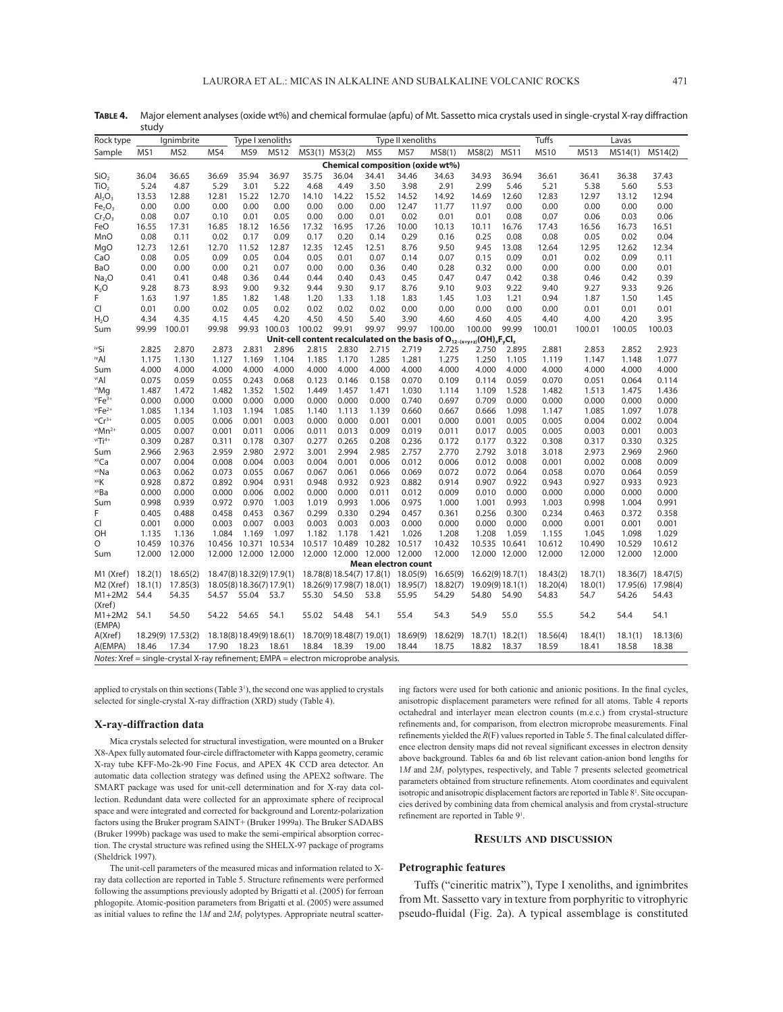|                                   | study                                                                              |                                                                                     |        |                  |                           |               |                             |               |                                    |          |        |                   |             |             |          |                   |
|-----------------------------------|------------------------------------------------------------------------------------|-------------------------------------------------------------------------------------|--------|------------------|---------------------------|---------------|-----------------------------|---------------|------------------------------------|----------|--------|-------------------|-------------|-------------|----------|-------------------|
| Rock type                         |                                                                                    | lgnimbrite                                                                          |        | Type I xenoliths |                           |               |                             |               | Type II xenoliths                  |          |        |                   | Tuffs       |             | Lavas    |                   |
| Sample                            | MS1                                                                                | MS2                                                                                 | MS4    | MS9              | <b>MS12</b>               | MS3(1) MS3(2) |                             | MS5           | MS7                                | MS8(1)   | MS8(2) | <b>MS11</b>       | <b>MS10</b> | <b>MS13</b> | MS14(1)  | MS14(2)           |
|                                   |                                                                                    |                                                                                     |        |                  |                           |               |                             |               | Chemical composition (oxide wt%)   |          |        |                   |             |             |          |                   |
| SiO <sub>2</sub>                  | 36.04                                                                              | 36.65                                                                               | 36.69  | 35.94            | 36.97                     | 35.75         | 36.04                       | 34.41         | 34.46                              | 34.63    | 34.93  | 36.94             | 36.61       | 36.41       | 36.38    | 37.43             |
| TiO <sub>2</sub>                  | 5.24                                                                               | 4.87                                                                                | 5.29   | 3.01             | 5.22                      | 4.68          | 4.49                        | 3.50          | 3.98                               | 2.91     | 2.99   | 5.46              | 5.21        | 5.38        | 5.60     | 5.53              |
| AI <sub>2</sub> O <sub>3</sub>    | 13.53                                                                              | 12.88                                                                               | 12.81  | 15.22            | 12.70                     | 14.10         | 14.22                       | 15.52         | 14.52                              | 14.92    | 14.69  | 12.60             | 12.83       | 12.97       | 13.12    | 12.94             |
| Fe <sub>2</sub> O <sub>3</sub>    | 0.00                                                                               | 0.00                                                                                | 0.00   | 0.00             | 0.00                      | 0.00          | 0.00                        | 0.00          | 12.47                              | 11.77    | 11.97  | 0.00              | 0.00        | 0.00        | 0.00     | 0.00              |
| Cr <sub>2</sub> O <sub>3</sub>    | 0.08                                                                               | 0.07                                                                                | 0.10   | 0.01             | 0.05                      | 0.00          | 0.00                        | 0.01          | 0.02                               | 0.01     | 0.01   | 0.08              | 0.07        | 0.06        | 0.03     | 0.06              |
| FeO                               | 16.55                                                                              | 17.31                                                                               | 16.85  | 18.12            | 16.56                     | 17.32         | 16.95                       | 17.26         | 10.00                              | 10.13    | 10.11  | 16.76             | 17.43       | 16.56       | 16.73    | 16.51             |
| MnO                               | 0.08                                                                               | 0.11                                                                                | 0.02   | 0.17             | 0.09                      | 0.17          | 0.20                        | 0.14          | 0.29                               | 0.16     | 0.25   | 0.08              | 0.08        | 0.05        | 0.02     | 0.04              |
| MgO                               | 12.73                                                                              | 12.61                                                                               | 12.70  | 11.52            | 12.87                     | 12.35         | 12.45                       | 12.51         | 8.76                               | 9.50     | 9.45   | 13.08             | 12.64       | 12.95       | 12.62    | 12.34             |
| CaO                               | 0.08                                                                               | 0.05                                                                                | 0.09   | 0.05             | 0.04                      | 0.05          | 0.01                        | 0.07          | 0.14                               | 0.07     | 0.15   | 0.09              | 0.01        | 0.02        | 0.09     | 0.11              |
| BaO                               | 0.00                                                                               | 0.00                                                                                | 0.00   | 0.21             | 0.07                      | 0.00          | 0.00                        | 0.36          | 0.40                               | 0.28     | 0.32   | 0.00              | 0.00        | 0.00        | 0.00     | 0.01              |
| Na <sub>2</sub> O                 | 0.41                                                                               | 0.41                                                                                | 0.48   | 0.36             | 0.44                      | 0.44          | 0.40                        | 0.43          | 0.45                               | 0.47     | 0.47   | 0.42              | 0.38        | 0.46        | 0.42     | 0.39              |
| $K_2O$                            | 9.28                                                                               | 8.73                                                                                | 8.93   | 9.00             | 9.32                      | 9.44          | 9.30                        | 9.17          | 8.76                               | 9.10     | 9.03   | 9.22              | 9.40        | 9.27        | 9.33     | 9.26              |
| F.                                | 1.63                                                                               | 1.97                                                                                | 1.85   | 1.82             | 1.48                      | 1.20          | 1.33                        | 1.18          | 1.83                               | 1.45     | 1.03   | 1.21              | 0.94        | 1.87        | 1.50     | 1.45              |
| CI                                | 0.01                                                                               | 0.00                                                                                | 0.02   | 0.05             | 0.02                      | 0.02          | 0.02                        | 0.02          | 0.00                               | 0.00     | 0.00   | 0.00              | 0.00        | 0.01        | 0.01     | 0.01              |
| H <sub>2</sub> O                  | 4.34                                                                               | 4.35                                                                                | 4.15   | 4.45             | 4.20                      | 4.50          | 4.50                        | 5.40          | 3.90                               | 4.60     | 4.60   | 4.05              | 4.40        | 4.00        | 4.20     | 3.95              |
| Sum                               | 99.99                                                                              | 100.01                                                                              | 99.98  | 99.93 100.03     |                           | 100.02        | 99.91                       | 99.97         | 99.97                              | 100.00   | 100.00 | 99.99             | 100.01      | 100.01      | 100.05   | 100.03            |
|                                   | Unit-cell content recalculated on the basis of $O_{12-(x+y+z)}(OH)_{x}F_{v}Cl_{z}$ |                                                                                     |        |                  |                           |               |                             |               |                                    |          |        |                   |             |             |          |                   |
| ™Si                               | 2.825                                                                              | 2.870                                                                               | 2.873  | 2.831            | 2.896                     | 2.815         | 2.830                       | 2.715         | 2.719                              | 2.725    | 2.750  | 2.895             | 2.881       | 2.853       | 2.852    | 2.923             |
| ™Al                               | 1.175                                                                              | 1.130                                                                               | 1.127  | 1.169            | 1.104                     | 1.185         | 1.170                       | 1.285         | 1.281                              | 1.275    | 1.250  | 1.105             | 1.119       | 1.147       | 1.148    | 1.077             |
| Sum                               | 4.000                                                                              | 4.000                                                                               | 4.000  | 4.000            | 4.000                     | 4.000         | 4.000                       | 4.000         | 4.000                              | 4.000    | 4.000  | 4.000             | 4.000       | 4.000       | 4.000    | 4.000             |
| ™Al                               | 0.075                                                                              | 0.059                                                                               | 0.055  | 0.243            | 0.068                     | 0.123         | 0.146                       | 0.158         | 0.070                              | 0.109    | 0.114  | 0.059             | 0.070       | 0.051       | 0.064    | 0.114             |
| ™iMq                              | 1.487                                                                              | 1.472                                                                               | 1.482  | 1.352            | 1.502                     | 1.449         | 1.457                       | 1.471         | 1.030                              | 1.114    | 1.109  | 1.528             | 1.482       | 1.513       | 1.475    | 1.436             |
| $v$ <sup>i</sup> Fe <sup>3+</sup> | 0.000                                                                              | 0.000                                                                               | 0.000  | 0.000            | 0.000                     | 0.000         | 0.000                       | 0.000         | 0.740                              | 0.697    | 0.709  | 0.000             | 0.000       | 0.000       | 0.000    | 0.000             |
| $v$ iFe <sup>2+</sup>             | 1.085                                                                              | 1.134                                                                               | 1.103  | 1.194            | 1.085                     | 1.140         | 1.113                       | 1.139         | 0.660                              | 0.667    | 0.666  | 1.098             | 1.147       | 1.085       | 1.097    | 1.078             |
| $v$ i $Cr^{3+}$                   | 0.005                                                                              | 0.005                                                                               | 0.006  | 0.001            | 0.003                     | 0.000         | 0.000                       | 0.001         | 0.001                              | 0.000    | 0.001  | 0.005             | 0.005       | 0.004       | 0.002    | 0.004             |
| $v^{i}$ Mn <sup>2+</sup>          | 0.005                                                                              | 0.007                                                                               | 0.001  | 0.011            | 0.006                     | 0.011         | 0.013                       | 0.009         | 0.019                              | 0.011    | 0.017  | 0.005             | 0.005       | 0.003       | 0.001    | 0.003             |
| $v$ i $Ti$ <sup>4+</sup>          | 0.309                                                                              | 0.287                                                                               | 0.311  | 0.178            | 0.307                     | 0.277         | 0.265                       | 0.208         | 0.236                              | 0.172    | 0.177  | 0.322             | 0.308       | 0.317       | 0.330    | 0.325             |
| Sum                               | 2.966                                                                              | 2.963                                                                               | 2.959  | 2.980            | 2.972                     | 3.001         | 2.994                       | 2.985         | 2.757                              | 2.770    | 2.792  | 3.018             | 3.018       | 2.973       | 2.969    | 2.960             |
| <sup>xii</sup> Ca                 | 0.007                                                                              | 0.004                                                                               | 0.008  | 0.004            | 0.003                     | 0.004         | 0.001                       | 0.006         | 0.012                              | 0.006    | 0.012  | 0.008             | 0.001       | 0.002       | 0.008    | 0.009             |
| <sup>xii</sup> Na                 | 0.063                                                                              | 0.062                                                                               | 0.073  | 0.055            | 0.067                     | 0.067         | 0.061                       | 0.066         | 0.069                              | 0.072    | 0.072  | 0.064             | 0.058       | 0.070       | 0.064    | 0.059             |
| ×iiK                              | 0.928                                                                              | 0.872                                                                               | 0.892  | 0.904            | 0.931                     | 0.948         | 0.932                       | 0.923         | 0.882                              | 0.914    | 0.907  | 0.922             | 0.943       | 0.927       | 0.933    | 0.923             |
| <sup>xii</sup> Ba                 | 0.000                                                                              | 0.000                                                                               | 0.000  | 0.006            | 0.002                     | 0.000         | 0.000                       | 0.011         | 0.012                              | 0.009    | 0.010  | 0.000             | 0.000       | 0.000       | 0.000    | 0.000             |
| Sum                               | 0.998                                                                              | 0.939                                                                               | 0.972  | 0.970            | 1.003                     | 1.019         | 0.993                       | 1.006         | 0.975                              | 1.000    | 1.001  | 0.993             | 1.003       | 0.998       | 1.004    | 0.991             |
| F                                 | 0.405                                                                              | 0.488                                                                               | 0.458  | 0.453            | 0.367                     | 0.299         | 0.330                       | 0.294         | 0.457                              | 0.361    | 0.256  | 0.300             | 0.234       | 0.463       | 0.372    | 0.358             |
| Cl                                | 0.001                                                                              | 0.000                                                                               | 0.003  | 0.007            | 0.003                     | 0.003         | 0.003                       | 0.003         | 0.000                              | 0.000    | 0.000  | 0.000             | 0.000       | 0.001       | 0.001    | 0.001             |
| OН                                | 1.135                                                                              | 1.136                                                                               | 1.084  | 1.169            | 1.097                     | 1.182         | 1.178                       | 1.421         | 1.026                              | 1.208    | 1.208  | 1.059             | 1.155       | 1.045       | 1.098    | 1.029             |
| O                                 | 10.459                                                                             | 10.376                                                                              | 10.456 |                  | 10.371 10.534             |               | 10.517 10.489               | 10.282 10.517 |                                    | 10.432   |        | 10.535 10.641     | 10.612      | 10.490      | 10.529   | 10.612            |
| Sum                               | 12.000                                                                             | 12.000                                                                              |        |                  | 12.000 12.000 12.000      |               | 12.000 12.000 12.000 12.000 |               |                                    | 12.000   |        | 12.000 12.000     | 12.000      | 12.000      | 12.000   | 12.000            |
|                                   |                                                                                    |                                                                                     |        |                  |                           |               |                             |               | <b>Mean electron count</b>         |          |        |                   |             |             |          |                   |
| M1 (Xref)                         | 18.2(1)                                                                            | 18.65(2)                                                                            |        |                  | 18.47(8) 18.32(9) 17.9(1) |               |                             |               | 18.78(8) 18.54(7) 17.8(1) 18.05(9) | 16.65(9) |        | 16.62(9)18.7(1)   | 18.43(2)    | 18.7(1)     | 18.36(7) | 18.47(5)          |
| M <sub>2</sub> (Xref)             | 18.1(1)                                                                            | 17.85(3)                                                                            |        |                  | 18.05(8) 18.36(7) 17.9(1) |               |                             |               | 18.26(9) 17.98(7) 18.0(1) 18.95(7) | 18.82(7) |        | 19.09(9) 18.1(1)  | 18.20(4)    | 18.0(1)     |          | 17.95(6) 17.98(4) |
| M1+2M2 54.4                       |                                                                                    | 54.35                                                                               | 54.57  | 55.04 53.7       |                           | 55.30         | 54.50                       | 53.8          | 55.95                              | 54.29    | 54.80  | 54.90             | 54.83       | 54.7        | 54.26    | 54.43             |
| (Xref)                            |                                                                                    |                                                                                     |        |                  |                           |               |                             |               |                                    |          |        |                   |             |             |          |                   |
| $M1+2M2$                          | 54.1                                                                               | 54.50                                                                               | 54.22  | 54.65            | 54.1                      | 55.02         | 54.48                       | 54.1          | 55.4                               | 54.3     | 54.9   | 55.0              | 55.5        | 54.2        | 54.4     | 54.1              |
| (EMPA)                            |                                                                                    |                                                                                     |        |                  |                           |               |                             |               |                                    |          |        |                   |             |             |          |                   |
| A(Xref)                           |                                                                                    | 18.29(9) 17.53(2)                                                                   |        |                  | 18.18(8) 18.49(9) 18.6(1) |               |                             |               | 18.70(9) 18.48(7) 19.0(1) 18.69(9) | 18.62(9) |        | $18.7(1)$ 18.2(1) | 18.56(4)    | 18.4(1)     | 18.1(1)  | 18.13(6)          |
| A(EMPA)                           | 18.46                                                                              | 17.34                                                                               |        | 17.90 18.23      | 18.61                     | 18.84         | 18.39                       | 19.00         | 18.44                              | 18.75    | 18.82  | 18.37             | 18.59       | 18.41       | 18.58    | 18.38             |
|                                   |                                                                                    | Notes: Xref = single-crystal X-ray refinement; EMPA = electron microprobe analysis. |        |                  |                           |               |                             |               |                                    |          |        |                   |             |             |          |                   |

TABLE 4. Major element analyses (oxide wt%) and chemical formulae (apfu) of Mt. Sassetto mica crystals used in single-crystal X-ray diffraction

applied to crystals on thin sections (Table 3<sup>1</sup>), the second one was applied to crystals selected for single-crystal X-ray diffraction (XRD) study (Table 4).

#### **X-ray-diffraction data**

Mica crystals selected for structural investigation, were mounted on a Bruker X8-Apex fully automated four-circle diffractometer with Kappa geometry, ceramic X-ray tube KFF-Mo-2k-90 Fine Focus, and APEX 4K CCD area detector. An automatic data collection strategy was defined using the APEX2 software. The SMART package was used for unit-cell determination and for X-ray data collection. Redundant data were collected for an approximate sphere of reciprocal space and were integrated and corrected for background and Lorentz-polarization factors using the Bruker program SAINT+ (Bruker 1999a). The Bruker SADABS (Bruker 1999b) package was used to make the semi-empirical absorption correction. The crystal structure was refined using the SHELX-97 package of programs (Sheldrick 1997).

The unit-cell parameters of the measured micas and information related to Xray data collection are reported in Table 5. Structure refinements were performed following the assumptions previously adopted by Brigatti et al. (2005) for ferroan phlogopite. Atomic-position parameters from Brigatti et al. (2005) were assumed as initial values to refine the  $1M$  and  $2M<sub>1</sub>$  polytypes. Appropriate neutral scattering factors were used for both cationic and anionic positions. In the final cycles, anisotropic displacement parameters were refined for all atoms. Table 4 reports octahedral and interlayer mean electron counts (m.e.c.) from crystal-structure refinements and, for comparison, from electron microprobe measurements. Final refinements yielded the  $R(F)$  values reported in Table 5. The final calculated difference electron density maps did not reveal significant excesses in electron density above background. Tables 6a and 6b list relevant cation-anion bond lengths for 1*M* and 2*M*1 polytypes, respectively, and Table 7 presents selected geometrical parameters obtained from structure refinements. Atom coordinates and equivalent isotropic and anisotropic displacement factors are reported in Table 8<sup>1</sup>. Site occupancies derived by combining data from chemical analysis and from crystal-structure refinement are reported in Table 9<sup>1</sup>.

#### **RESULTS AND DISCUSSION**

## **Petrographic features**

Tuffs ("cineritic matrix"), Type I xenoliths, and ignimbrites from Mt. Sassetto vary in texture from porphyritic to vitrophyric pseudo-fluidal (Fig. 2a). A typical assemblage is constituted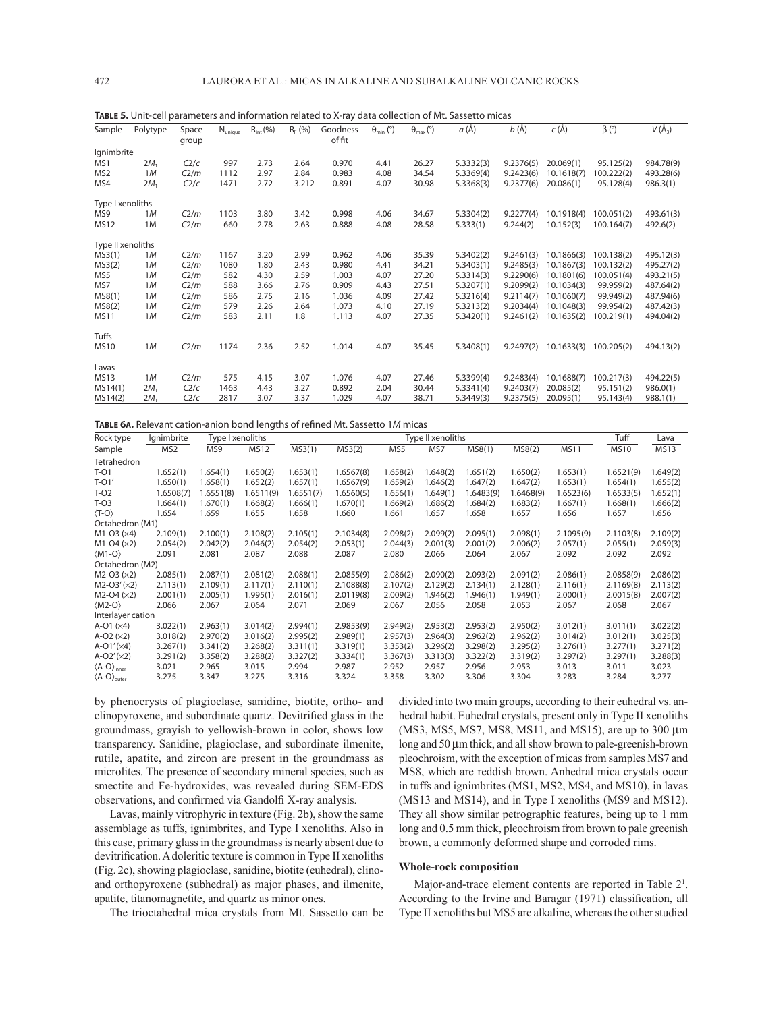| Sample            | Polytype | Space<br>group | $N_{\text{unique}}$ | $R_{int}$ (%) | $R_F (%)$ | Goodness<br>of fit | $\theta_{\min}$ (°) | $\theta_{\text{max}}$ (°) | a (Å)     | $b(\AA)$  | $c(\AA)$   | $\beta$ (°) | $V(\AA_3)$ |
|-------------------|----------|----------------|---------------------|---------------|-----------|--------------------|---------------------|---------------------------|-----------|-----------|------------|-------------|------------|
| Ignimbrite        |          |                |                     |               |           |                    |                     |                           |           |           |            |             |            |
| MS1               | $2M_1$   | C2/c           | 997                 | 2.73          | 2.64      | 0.970              | 4.41                | 26.27                     | 5.3332(3) | 9.2376(5) | 20.069(1)  | 95.125(2)   | 984.78(9)  |
| MS <sub>2</sub>   | 1M       | C2/m           | 1112                | 2.97          | 2.84      | 0.983              | 4.08                | 34.54                     | 5.3369(4) | 9.2423(6) | 10.1618(7) | 100.222(2)  | 493.28(6)  |
| MS4               | $2M_1$   | C2/c           | 1471                | 2.72          | 3.212     | 0.891              | 4.07                | 30.98                     | 5.3368(3) | 9.2377(6) | 20.086(1)  | 95.128(4)   | 986.3(1)   |
| Type I xenoliths  |          |                |                     |               |           |                    |                     |                           |           |           |            |             |            |
| MS9               | 1M       | C2/m           | 1103                | 3.80          | 3.42      | 0.998              | 4.06                | 34.67                     | 5.3304(2) | 9.2277(4) | 10.1918(4) | 100.051(2)  | 493.61(3)  |
| <b>MS12</b>       | 1M       | C2/m           | 660                 | 2.78          | 2.63      | 0.888              | 4.08                | 28.58                     | 5.333(1)  | 9.244(2)  | 10.152(3)  | 100.164(7)  | 492.6(2)   |
| Type II xenoliths |          |                |                     |               |           |                    |                     |                           |           |           |            |             |            |
| MS3(1)            | 1M       | C2/m           | 1167                | 3.20          | 2.99      | 0.962              | 4.06                | 35.39                     | 5.3402(2) | 9.2461(3) | 10.1866(3) | 100.138(2)  | 495.12(3)  |
| MS3(2)            | 1M       | C2/m           | 1080                | 1.80          | 2.43      | 0.980              | 4.41                | 34.21                     | 5.3403(1) | 9.2485(3) | 10.1867(3) | 100.132(2)  | 495.27(2)  |
| MS5               | 1M       | C2/m           | 582                 | 4.30          | 2.59      | 1.003              | 4.07                | 27.20                     | 5.3314(3) | 9.2290(6) | 10.1801(6) | 100.051(4)  | 493.21(5)  |
| MS7               | 1M       | C2/m           | 588                 | 3.66          | 2.76      | 0.909              | 4.43                | 27.51                     | 5.3207(1) | 9.2099(2) | 10.1034(3) | 99.959(2)   | 487.64(2)  |
| MS8(1)            | 1M       | C2/m           | 586                 | 2.75          | 2.16      | 1.036              | 4.09                | 27.42                     | 5.3216(4) | 9.2114(7) | 10.1060(7) | 99.949(2)   | 487.94(6)  |
| MS8(2)            | 1M       | C2/m           | 579                 | 2.26          | 2.64      | 1.073              | 4.10                | 27.19                     | 5.3213(2) | 9.2034(4) | 10.1048(3) | 99.954(2)   | 487.42(3)  |
| <b>MS11</b>       | 1M       | C2/m           | 583                 | 2.11          | 1.8       | 1.113              | 4.07                | 27.35                     | 5.3420(1) | 9.2461(2) | 10.1635(2) | 100.219(1)  | 494.04(2)  |
| Tuffs             |          |                |                     |               |           |                    |                     |                           |           |           |            |             |            |
| <b>MS10</b>       | 1M       | C2/m           | 1174                | 2.36          | 2.52      | 1.014              | 4.07                | 35.45                     | 5.3408(1) | 9.2497(2) | 10.1633(3) | 100.205(2)  | 494.13(2)  |
| Lavas             |          |                |                     |               |           |                    |                     |                           |           |           |            |             |            |
| <b>MS13</b>       | 1M       | C2/m           | 575                 | 4.15          | 3.07      | 1.076              | 4.07                | 27.46                     | 5.3399(4) | 9.2483(4) | 10.1688(7) | 100.217(3)  | 494.22(5)  |
| MS14(1)           | $2M_1$   | C2/c           | 1463                | 4.43          | 3.27      | 0.892              | 2.04                | 30.44                     | 5.3341(4) | 9.2403(7) | 20.085(2)  | 95.151(2)   | 986.0(1)   |
| MS14(2)           | $2M_1$   | C2/c           | 2817                | 3.07          | 3.37      | 1.029              | 4.07                | 38.71                     | 5.3449(3) | 9.2375(5) | 20.095(1)  | 95.143(4)   | 988.1(1)   |

**TABLE 5.** Unit-cell parameters and information related to X-ray data collection of Mt. Sassetto micas

**TABLE 6A.** Relevant cation-anion bond lengths of refined Mt. Sassetto 1M micas

| Rock type                                | lgnimbrite      | Type I xenoliths |             |           | Type II xenoliths |          |          |           |           |             |             | Lava        |
|------------------------------------------|-----------------|------------------|-------------|-----------|-------------------|----------|----------|-----------|-----------|-------------|-------------|-------------|
| Sample                                   | MS <sub>2</sub> | MS9              | <b>MS12</b> | MS3(1)    | MS3(2)            | MS5      | MS7      | MS8(1)    | MS8(2)    | <b>MS11</b> | <b>MS10</b> | <b>MS13</b> |
| Tetrahedron                              |                 |                  |             |           |                   |          |          |           |           |             |             |             |
| T-01                                     | 1.652(1)        | 1.654(1)         | 1.650(2)    | 1.653(1)  | 1.6567(8)         | 1.658(2) | 1.648(2) | 1.651(2)  | 1.650(2)  | 1.653(1)    | 1.6521(9)   | 1.649(2)    |
| $T-O1'$                                  | 1.650(1)        | 1.658(1)         | 1.652(2)    | 1.657(1)  | 1.6567(9)         | 1.659(2) | 1.646(2) | 1.647(2)  | 1.647(2)  | 1.653(1)    | 1.654(1)    | 1.655(2)    |
| $T-O2$                                   | 1.6508(7)       | 1.6551(8)        | 1.6511(9)   | 1.6551(7) | 1.6560(5)         | 1.656(1) | 1.649(1) | 1.6483(9) | 1.6468(9) | 1.6523(6)   | 1.6533(5)   | 1.652(1)    |
| $T-O3$                                   | 1.664(1)        | 1.670(1)         | 1.668(2)    | 1.666(1)  | 1.670(1)          | 1.669(2) | 1.686(2) | 1.684(2)  | 1.683(2)  | 1.667(1)    | 1.668(1)    | 1.666(2)    |
| $\langle T-O \rangle$                    | 1.654           | 1.659            | 1.655       | 1.658     | 1.660             | 1.661    | 1.657    | 1.658     | 1.657     | 1.656       | 1.657       | 1.656       |
| Octahedron (M1)                          |                 |                  |             |           |                   |          |          |           |           |             |             |             |
| $M1-O3 (×4)$                             | 2.109(1)        | 2.100(1)         | 2.108(2)    | 2.105(1)  | 2.1034(8)         | 2.098(2) | 2.099(2) | 2.095(1)  | 2.098(1)  | 2.1095(9)   | 2.1103(8)   | 2.109(2)    |
| $M1-O4 (×2)$                             | 2.054(2)        | 2.042(2)         | 2.046(2)    | 2.054(2)  | 2.053(1)          | 2.044(3) | 2.001(3) | 2.001(2)  | 2.006(2)  | 2.057(1)    | 2.055(1)    | 2.059(3)    |
| $\langle M1-O \rangle$                   | 2.091           | 2.081            | 2.087       | 2.088     | 2.087             | 2.080    | 2.066    | 2.064     | 2.067     | 2.092       | 2.092       | 2.092       |
| Octahedron (M2)                          |                 |                  |             |           |                   |          |          |           |           |             |             |             |
| $M2-O3 (×2)$                             | 2.085(1)        | 2.087(1)         | 2.081(2)    | 2.088(1)  | 2.0855(9)         | 2.086(2) | 2.090(2) | 2.093(2)  | 2.091(2)  | 2.086(1)    | 2.0858(9)   | 2.086(2)    |
| $M2-O3'(x2)$                             | 2.113(1)        | 2.109(1)         | 2.117(1)    | 2.110(1)  | 2.1088(8)         | 2.107(2) | 2.129(2) | 2.134(1)  | 2.128(1)  | 2.116(1)    | 2.1169(8)   | 2.113(2)    |
| $M2-O4 (×2)$                             | 2.001(1)        | 2.005(1)         | 1.995(1)    | 2.016(1)  | 2.0119(8)         | 2.009(2) | 1.946(2) | 1.946(1)  | 1.949(1)  | 2.000(1)    | 2.0015(8)   | 2.007(2)    |
| $\langle M2-O \rangle$                   | 2.066           | 2.067            | 2.064       | 2.071     | 2.069             | 2.067    | 2.056    | 2.058     | 2.053     | 2.067       | 2.068       | 2.067       |
| Interlayer cation                        |                 |                  |             |           |                   |          |          |           |           |             |             |             |
| A-O1 $(x4)$                              | 3.022(1)        | 2.963(1)         | 3.014(2)    | 2.994(1)  | 2.9853(9)         | 2.949(2) | 2.953(2) | 2.953(2)  | 2.950(2)  | 3.012(1)    | 3.011(1)    | 3.022(2)    |
| $A-O2 (×2)$                              | 3.018(2)        | 2.970(2)         | 3.016(2)    | 2.995(2)  | 2.989(1)          | 2.957(3) | 2.964(3) | 2.962(2)  | 2.962(2)  | 3.014(2)    | 3.012(1)    | 3.025(3)    |
| $A-O1' (×4)$                             | 3.267(1)        | 3.341(2)         | 3.268(2)    | 3.311(1)  | 3.319(1)          | 3.353(2) | 3.296(2) | 3.298(2)  | 3.295(2)  | 3.276(1)    | 3.277(1)    | 3.271(2)    |
| $A-O2'(x2)$                              | 3.291(2)        | 3.358(2)         | 3.288(2)    | 3.327(2)  | 3.334(1)          | 3.367(3) | 3.313(3) | 3.322(2)  | 3.319(2)  | 3.297(2)    | 3.297(1)    | 3.288(3)    |
| $\langle A-O \rangle_{inner}$            | 3.021           | 2.965            | 3.015       | 2.994     | 2.987             | 2.952    | 2.957    | 2.956     | 2.953     | 3.013       | 3.011       | 3.023       |
| $\langle$ A-O $\rangle$ <sub>outer</sub> | 3.275           | 3.347            | 3.275       | 3.316     | 3.324             | 3.358    | 3.302    | 3.306     | 3.304     | 3.283       | 3.284       | 3.277       |

by phenocrysts of plagioclase, sanidine, biotite, ortho- and clinopyroxene, and subordinate quartz. Devitrified glass in the groundmass, grayish to yellowish-brown in color, shows low transparency. Sanidine, plagioclase, and subordinate ilmenite, rutile, apatite, and zircon are present in the groundmass as microlites. The presence of secondary mineral species, such as smectite and Fe-hydroxides, was revealed during SEM-EDS observations, and confirmed via Gandolfi X-ray analysis.

Lavas, mainly vitrophyric in texture (Fig. 2b), show the same assemblage as tuffs, ignimbrites, and Type I xenoliths. Also in this case, primary glass in the groundmass is nearly absent due to devitrification. A doleritic texture is common in Type II xenoliths (Fig. 2c), showing plagioclase, sanidine, biotite (euhedral), clinoand orthopyroxene (subhedral) as major phases, and ilmenite, apatite, titanomagnetite, and quartz as minor ones.

The trioctahedral mica crystals from Mt. Sassetto can be

divided into two main groups, according to their euhedral vs. anhedral habit. Euhedral crystals, present only in Type II xenoliths (MS3, MS5, MS7, MS8, MS11, and MS15), are up to 300 μm long and 50 μm thick, and all show brown to pale-greenish-brown pleochroism, with the exception of micas from samples MS7 and MS8, which are reddish brown. Anhedral mica crystals occur in tuffs and ignimbrites (MS1, MS2, MS4, and MS10), in lavas (MS13 and MS14), and in Type I xenoliths (MS9 and MS12). They all show similar petrographic features, being up to 1 mm long and 0.5 mm thick, pleochroism from brown to pale greenish brown, a commonly deformed shape and corroded rims.

## **Whole-rock composition**

Major-and-trace element contents are reported in Table 2<sup>1</sup>. According to the Irvine and Baragar (1971) classification, all Type II xenoliths but MS5 are alkaline, whereas the other studied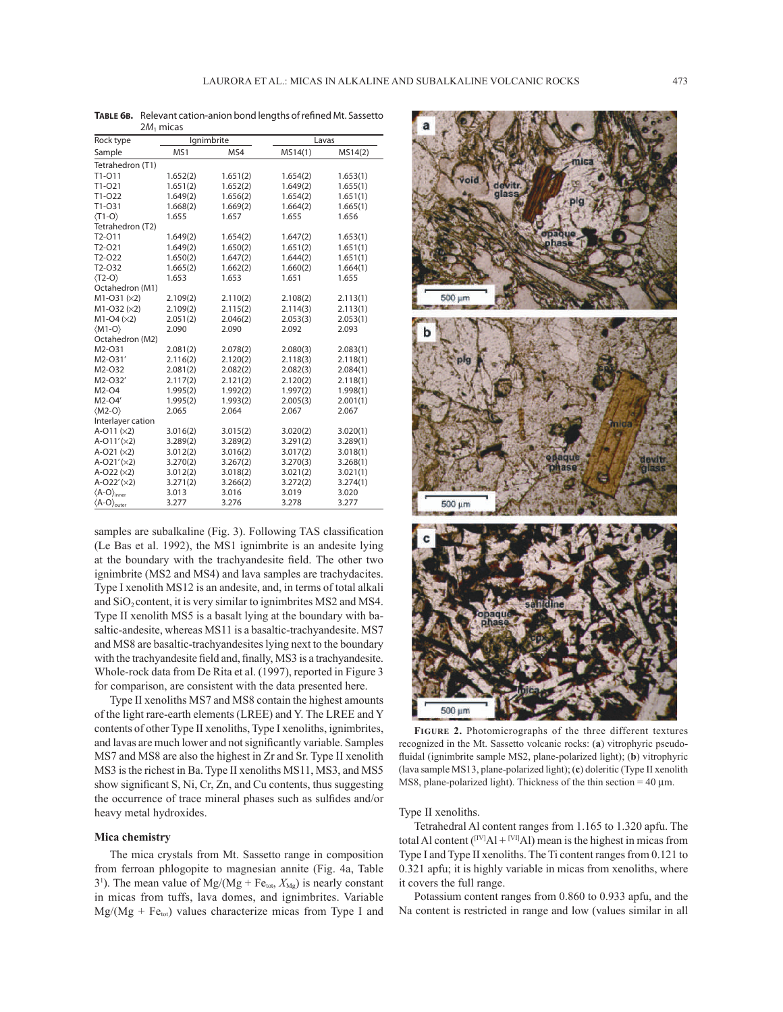| $2M_1$ micas                  |            |          |          |          |  |  |  |  |  |  |  |
|-------------------------------|------------|----------|----------|----------|--|--|--|--|--|--|--|
| Rock type                     | Ignimbrite |          | Lavas    |          |  |  |  |  |  |  |  |
| Sample                        | MS1        | MS4      | MS14(1)  | MS14(2)  |  |  |  |  |  |  |  |
| Tetrahedron (T1)              |            |          |          |          |  |  |  |  |  |  |  |
| T1-011                        | 1.652(2)   | 1.651(2) | 1.654(2) | 1.653(1) |  |  |  |  |  |  |  |
| $T1-021$                      | 1.651(2)   | 1.652(2) | 1.649(2) | 1.655(1) |  |  |  |  |  |  |  |
| T1-022                        | 1.649(2)   | 1.656(2) | 1.654(2) | 1.651(1) |  |  |  |  |  |  |  |
| $T1-O31$                      | 1.668(2)   | 1.669(2) | 1.664(2) | 1.665(1) |  |  |  |  |  |  |  |
| $\langle T1 - O \rangle$      | 1.655      | 1.657    | 1.655    | 1.656    |  |  |  |  |  |  |  |
| Tetrahedron (T2)              |            |          |          |          |  |  |  |  |  |  |  |
| T <sub>2</sub> -011           | 1.649(2)   | 1.654(2) | 1.647(2) | 1.653(1) |  |  |  |  |  |  |  |
| T2-O21                        | 1.649(2)   | 1.650(2) | 1.651(2) | 1.651(1) |  |  |  |  |  |  |  |
| T2-O22                        | 1.650(2)   | 1.647(2) | 1.644(2) | 1.651(1) |  |  |  |  |  |  |  |
| T2-032                        | 1.665(2)   | 1.662(2) | 1.660(2) | 1.664(1) |  |  |  |  |  |  |  |
| $\langle$ T2-O $\rangle$      | 1.653      | 1.653    | 1.651    | 1.655    |  |  |  |  |  |  |  |
| Octahedron (M1)               |            |          |          |          |  |  |  |  |  |  |  |
| $M1-O31 (×2)$                 | 2.109(2)   | 2.110(2) | 2.108(2) | 2.113(1) |  |  |  |  |  |  |  |
| $M1-O32 (×2)$                 | 2.109(2)   | 2.115(2) | 2.114(3) | 2.113(1) |  |  |  |  |  |  |  |
| $M1-O4 (×2)$                  | 2.051(2)   | 2.046(2) | 2.053(3) | 2.053(1) |  |  |  |  |  |  |  |
| $\langle M1-O \rangle$        | 2.090      | 2.090    | 2.092    | 2.093    |  |  |  |  |  |  |  |
| Octahedron (M2)               |            |          |          |          |  |  |  |  |  |  |  |
| M2-O31                        | 2.081(2)   | 2.078(2) | 2.080(3) | 2.083(1) |  |  |  |  |  |  |  |
| M2-O31'                       | 2.116(2)   | 2.120(2) | 2.118(3) | 2.118(1) |  |  |  |  |  |  |  |
| M2-032                        | 2.081(2)   | 2.082(2) | 2.082(3) | 2.084(1) |  |  |  |  |  |  |  |
| M2-O32'                       | 2.117(2)   | 2.121(2) | 2.120(2) | 2.118(1) |  |  |  |  |  |  |  |
| M2-04                         | 1.995(2)   | 1.992(2) | 1.997(2) | 1.998(1) |  |  |  |  |  |  |  |
| M2-O4'                        | 1.995(2)   | 1.993(2) | 2.005(3) | 2.001(1) |  |  |  |  |  |  |  |
| $\langle M2-O \rangle$        | 2.065      | 2.064    | 2.067    | 2.067    |  |  |  |  |  |  |  |
| Interlayer cation             |            |          |          |          |  |  |  |  |  |  |  |
| $A-O11 (×2)$                  | 3.016(2)   | 3.015(2) | 3.020(2) | 3.020(1) |  |  |  |  |  |  |  |
| $A-O11'(x2)$                  | 3.289(2)   | 3.289(2) | 3.291(2) | 3.289(1) |  |  |  |  |  |  |  |
| $A-O21 (×2)$                  | 3.012(2)   | 3.016(2) | 3.017(2) | 3.018(1) |  |  |  |  |  |  |  |
| $A-O21' (x2)$                 | 3.270(2)   | 3.267(2) | 3.270(3) | 3.268(1) |  |  |  |  |  |  |  |
| $A-O22 (×2)$                  | 3.012(2)   | 3.018(2) | 3.021(2) | 3.021(1) |  |  |  |  |  |  |  |
| $A-O22'(x2)$                  | 3.271(2)   | 3.266(2) | 3.272(2) | 3.274(1) |  |  |  |  |  |  |  |
| $\langle A-O \rangle$ inner   | 3.013      | 3.016    | 3.019    | 3.020    |  |  |  |  |  |  |  |
| $\langle A-O \rangle_{outer}$ | 3.277      | 3.276    | 3.278    | 3.277    |  |  |  |  |  |  |  |

TABLE 6B. Relevant cation-anion bond lengths of refined Mt. Sassetto

samples are subalkaline (Fig. 3). Following TAS classification (Le Bas et al. 1992), the MS1 ignimbrite is an andesite lying at the boundary with the trachyandesite field. The other two ignimbrite (MS2 and MS4) and lava samples are trachydacites. Type I xenolith MS12 is an andesite, and, in terms of total alkali and  $SiO<sub>2</sub>$  content, it is very similar to ignimbrites MS2 and MS4. Type II xenolith MS5 is a basalt lying at the boundary with basaltic-andesite, whereas MS11 is a basaltic-trachyandesite. MS7 and MS8 are basaltic-trachyandesites lying next to the boundary with the trachyandesite field and, finally, MS3 is a trachyandesite. Whole-rock data from De Rita et al. (1997), reported in Figure 3 for comparison, are consistent with the data presented here.

Type II xenoliths MS7 and MS8 contain the highest amounts of the light rare-earth elements (LREE) and Y. The LREE and Y contents of other Type II xenoliths, Type I xenoliths, ignimbrites, and lavas are much lower and not significantly variable. Samples MS7 and MS8 are also the highest in Zr and Sr. Type II xenolith MS3 is the richest in Ba. Type II xenoliths MS11, MS3, and MS5 show significant S, Ni, Cr, Zn, and Cu contents, thus suggesting the occurrence of trace mineral phases such as sulfides and/or heavy metal hydroxides.

## **Mica chemistry**

The mica crystals from Mt. Sassetto range in composition from ferroan phlogopite to magnesian annite (Fig. 4a, Table 3<sup>1</sup>). The mean value of Mg/(Mg + Fe<sub>tot</sub>,  $X_{\text{Mg}}$ ) is nearly constant in micas from tuffs, lava domes, and ignimbrites. Variable  $Mg/(Mg + Fe<sub>tot</sub>)$  values characterize micas from Type I and



**FIGURE 2.** Photomicrographs of the three different textures recognized in the Mt. Sassetto volcanic rocks: (**a**) vitrophyric pseudofluidal (ignimbrite sample MS2, plane-polarized light); (b) vitrophyric (lava sample MS13, plane-polarized light); (**c**) doleritic (Type II xenolith MS8, plane-polarized light). Thickness of the thin section  $= 40 \mu m$ .

Type II xenoliths.

Tetrahedral Al content ranges from 1.165 to 1.320 apfu. The total Al content ( $[IV]$ Al +  $[VI]$ Al) mean is the highest in micas from Type I and Type II xenoliths. The Ti content ranges from 0.121 to 0.321 apfu; it is highly variable in micas from xenoliths, where it covers the full range.

Potassium content ranges from 0.860 to 0.933 apfu, and the Na content is restricted in range and low (values similar in all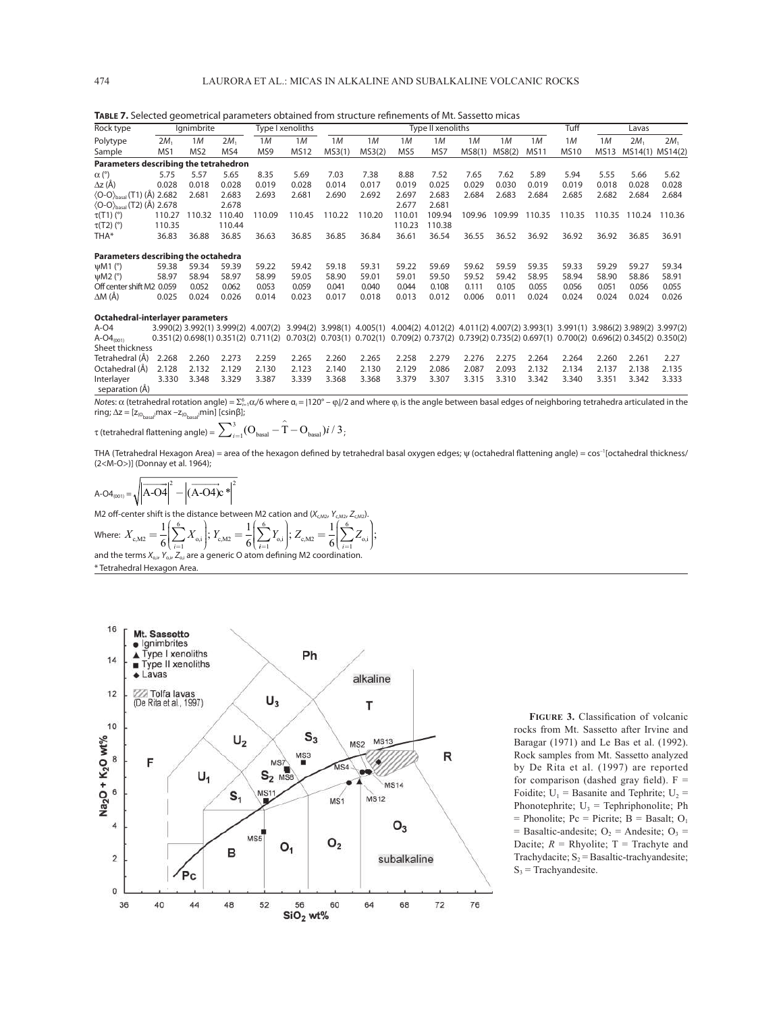| Rock type                                               |        | lanimbrite      |                 |        | Type I xenoliths |        |        |        | Type II xenoliths |        |             |             | Tuff        |             | Lavas           |                 |
|---------------------------------------------------------|--------|-----------------|-----------------|--------|------------------|--------|--------|--------|-------------------|--------|-------------|-------------|-------------|-------------|-----------------|-----------------|
| Polytype                                                | $2M_1$ | 1 M             | 2M <sub>1</sub> | 1M     | 1M               | 1M     | 1M     | 1M     | 1M                | 1M     | 1M          | 1M          | 1M          | 1M          | 2M <sub>1</sub> | 2M <sub>1</sub> |
| Sample                                                  | MS1    | MS <sub>2</sub> | MS4             | MS9    | <b>MS12</b>      | MS3(1) | MS3(2) | MS5    | MS7               | MS8(1) | MS8(2)      | <b>MS11</b> | <b>MS10</b> | <b>MS13</b> |                 | MS14(1) MS14(2) |
| Parameters describing the tetrahedron                   |        |                 |                 |        |                  |        |        |        |                   |        |             |             |             |             |                 |                 |
| $\alpha$ (°)                                            | 5.75   | 5.57            | 5.65            | 8.35   | 5.69             | 7.03   | 7.38   | 8.88   | 7.52              | 7.65   | 7.62        | 5.89        | 5.94        | 5.55        | 5.66            | 5.62            |
| $\Delta z$ (Å)                                          | 0.028  | 0.018           | 0.028           | 0.019  | 0.028            | 0.014  | 0.017  | 0.019  | 0.025             | 0.029  | 0.030       | 0.019       | 0.019       | 0.018       | 0.028           | 0.028           |
| $\langle$ O-O $\rangle$ <sub>basal</sub> (T1) (Å) 2.682 |        | 2.681           | 2.683           | 2.693  | 2.681            | 2.690  | 2.692  | 2.697  | 2.683             | 2.684  | 2.683       | 2.684       | 2.685       | 2.682       | 2.684           | 2.684           |
| $\langle$ O-O $\rangle$ <sub>basal</sub> (T2) (Å) 2.678 |        |                 | 2.678           |        |                  |        |        | 2.677  | 2.681             |        |             |             |             |             |                 |                 |
| $\tau(T1)$ (°)                                          | 110.27 | 110.32          | 110.40          | 110.09 | 110.45           | 110.22 | 110.20 | 110.01 | 109.94            | 109.96 | .99<br>109. | 110.35      | 110.35      | 110.35      | 110.24          | 110.36          |
| $\tau(T2)$ (°)                                          | 110.35 |                 | 110.44          |        |                  |        |        | 110.23 | 110.38            |        |             |             |             |             |                 |                 |
| THA*                                                    | 36.83  | 36.88           | 36.85           | 36.63  | 36.85            | 36.85  | 36.84  | 36.61  | 36.54             | 36.55  | 36.52       | 36.92       | 36.92       | 36.92       | 36.85           | 36.91           |
| Parameters describing the octahedra                     |        |                 |                 |        |                  |        |        |        |                   |        |             |             |             |             |                 |                 |
| $\psi$ M1 $(°)$                                         | 59.38  | 59.34           | 59.39           | 59.22  | 59.42            | 59.18  | 59.31  | 59.22  | 59.69             | 59.62  | 59.59       | 59.35       | 59.33       | 59.29       | 59.27           | 59.34           |
| $\psi$ M2 $(°)$                                         | 58.97  | 58.94           | 58.97           | 58.99  | 59.05            | 58.90  | 59.01  | 59.01  | 59.50             | 59.52  | 59.42       | 58.95       | 58.94       | 58.90       | 58.86           | 58.91           |
| Off center shift M2 0.059                               |        | 0.052           | 0.062           | 0.053  | 0.059            | 0.041  | 0.040  | 0.044  | 0.108             | 0.111  | 0.105       | 0.055       | 0.056       | 0.051       | 0.056           | 0.055           |
| $\Delta M(A)$                                           | 0.025  | 0.024           | 0.026           | 0.014  | 0.023            | 0.017  | 0.018  | 0.013  | 0.012             | 0.006  | 0.011       | 0.024       | 0.024       | 0.024       | 0.024           | 0.026           |

TABLE 7. Selected geometrical parameters obtained from structure refinements of Mt. Sassetto micas

**Octahedral-interlayer parameters**

A-O4 3.990(2) 3.992(1) 3.999(2) 4.007(2) 3.994(2) 3.998(1) 4.005(1) 4.004(2) 4.012(2) 4.011(2) 4.007(2) 3.993(1) 3.981(1) 3.986(2) 3.989(2) 3.997(2) A-O4<sub>(011</sub> 0.051(2) 0.698(1) 0.351(2) 0.791(2) 0.711(2) 0.703(2) 0.703(1) A-O4(001) 0.351(2) 0.698(1) 0.351(2) 0.711(2) 0.703(2) 0.703(1) 0.702(1) 0.709(2) 0.737(2) 0.739(2) 0.735(2) 0.697(1) 0.700(2) 0.696(2) 0.345(2) 0.350(2) Sheet thickness<br>Tetrahedral (Å) Tetrahedral (Å) 2.268 2.260 2.273 2.259 2.265 2.260 2.265 2.258 2.279 2.276 2.275 2.264 2.264 2.260 2.261 2.27 Octahedral (Å) 2.128 2.132 2.129 2.130 2.123 2.140 2.130 2.129 2.086 2.087 2.093 2.132 2.134 2.137 2.138 2.135 Interlayer 3.330 3.348 3.329 3.387 3.339 3.368 3.368 3.379 3.307 3.315 3.310 3.342 3.340 3.351 3.342 3.333 separation (Å)

Notes: α (tetrahedral rotation angle) =  $\Sigma_{i=1}^6$ α,/6 where α<sub>i</sub> = [120° – φ]/2 and where φ, is the angle between basal edges of neighboring tetrahedra articulated in the ring;  $\Delta z = [z_{(O_{\text{basal}})} \text{max} - z_{(O_{\text{basal}})} \text{min}]$  [csin $\beta$ ];

τ (tetrahedral flattening angle) =  $\sum\nolimits_{i = 1}^3 (\rm{O}_{basal} - \hat{\rm{T}} - \rm{O}_{basal})i$  /  $\rm{3}$  ;

THA (Tetrahedral Hexagon Area) = area of the hexagon defined by tetrahedral basal oxygen edges;  $\psi$  (octahedral flattening angle) = cos-1[octahedral thickness/ (2<M-O>)] (Donnay et al. 1964);

> ⎞ ⎠ ⎟  $\mathbf{I}$ ⎟  $\frac{1}{2}$ ;

 $A-O4_{(001)} = \sqrt{|\overline{A-O4}|}$  $\frac{1}{2}$  2  $\frac{1}{2}$  2  $\frac{1}{2}$ l(A-O4)c

M2 off-center shift is the distance between M2 cation and  $(X_{c,M2})$ ⎞ 6 ⎞ 6  $1\left(\frac{6}{5}\right)$ 

1

Where:  $X_{c,M2} = \frac{1}{6} \left| \sum_{i=1} X_{o,i} \right|$ ;  $Y_{c,M2} = \frac{1}{6}$ and the terms  $X_{0,i}$ ,  $Y_{0,i}$ ,  $Z_{0,i}$  are a generic O atom defining M2 coordination.  $\mathcal{L}_{\text{c,M2}} = \frac{1}{6} \left( \sum_{i=1}^{6} X_{\text{o},i} \right); Y_{\text{c,M2}} = \frac{1}{6} \left( \sum_{i=1}^{6} Y_{\text{o},i} \right)$ ⎝ ⎜  $\mathsf I$ ⎜⎜ ⎠ ⎟  $\overline{a}$ ⎟  $rac{1}{6} \sum_{i=1}^{6}$  $i=1$   $\qquad$   $\qquad$   $\qquad$   $\qquad$   $\qquad$   $\qquad$   $\qquad$   $\qquad$   $\qquad$   $\qquad$   $\qquad$   $\qquad$   $\qquad$   $\qquad$   $\qquad$   $\qquad$   $\qquad$   $\qquad$   $\qquad$   $\qquad$   $\qquad$   $\qquad$   $\qquad$   $\qquad$   $\qquad$   $\qquad$   $\qquad$   $\qquad$   $\qquad$   $\qquad$   $\qquad$   $\qquad$   $\qquad$   $\qquad$   $\qquad$   $\qquad$  $\left(\sum_{i=1}^{6} Y_{\text{o},i}\right); Z_{\text{c,M2}} = \frac{1}{6} \left(\sum_{i=1}^{6} Z_{\text{o},i}\right)$ ⎝ ⎜  $\mathsf I$ ⎜⎜ ⎠  $\frac{1}{2}$ ⎝ ⎜ ⎜ \* Tetrahedral Hexagon Area.



**FIGURE 3.** Classification of volcanic rocks from Mt. Sassetto after Irvine and Baragar (1971) and Le Bas et al. (1992). Rock samples from Mt. Sassetto analyzed by De Rita et al. (1997) are reported for comparison (dashed gray field).  $F =$ Foidite;  $U_1$  = Basanite and Tephrite;  $U_2$  = Phonotephrite;  $U_3$  = Tephriphonolite; Ph  $=$  Phonolite; Pc  $=$  Picrite; B  $=$  Basalt; O<sub>1</sub> = Basaltic-andesite;  $O_2$  = Andesite;  $O_3$  = Dacite;  $R =$  Rhyolite;  $T =$  Trachyte and Trachydacite;  $S_2$  = Basaltic-trachyandesite;  $S_3$  = Trachyandesite.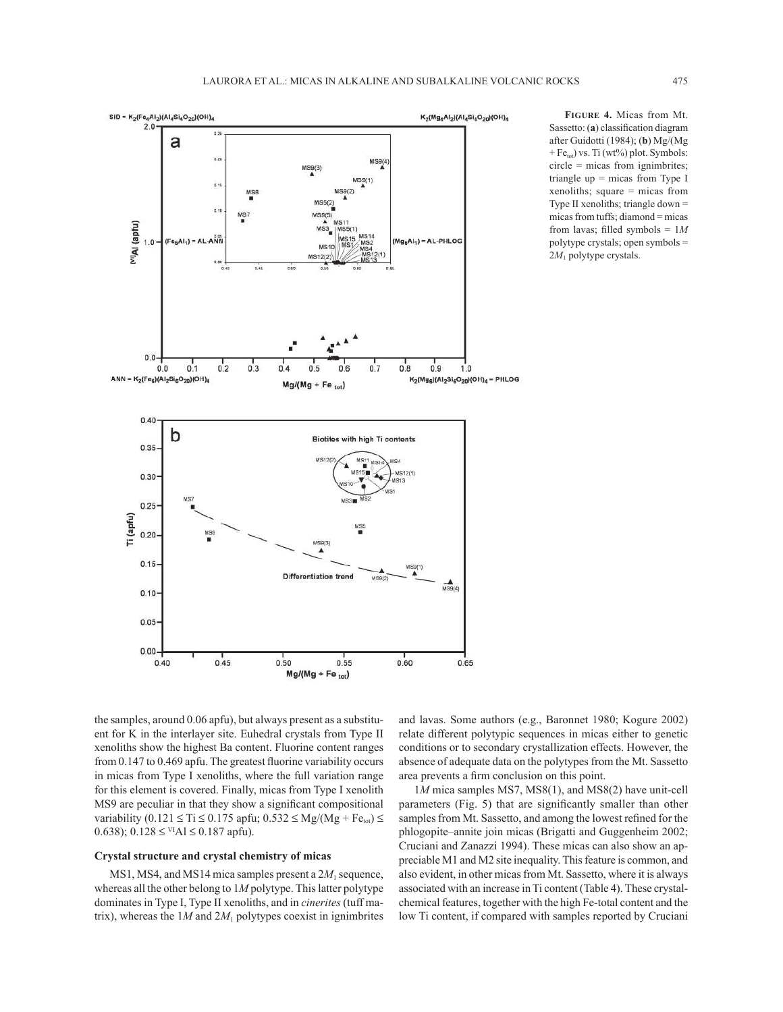

**FIGURE 4.** Micas from Mt. Sassetto: (a) classification diagram after Guidotti (1984); (**b**) Mg/(Mg + Fe<sub>tot</sub>) vs. Ti (wt%) plot. Symbols: circle = micas from ignimbrites; triangle  $up = micas$  from Type I xenoliths; square = micas from Type II xenoliths; triangle down = micas from tuffs; diamond = micas from lavas; filled symbols =  $1M$ polytype crystals; open symbols = 2*M*1 polytype crystals.

the samples, around 0.06 apfu), but always present as a substituent for K in the interlayer site. Euhedral crystals from Type II xenoliths show the highest Ba content. Fluorine content ranges from  $0.147$  to  $0.469$  apfu. The greatest fluorine variability occurs in micas from Type I xenoliths, where the full variation range for this element is covered. Finally, micas from Type I xenolith MS9 are peculiar in that they show a significant compositional variability  $(0.121 \leq T_i \leq 0.175$  apfu;  $0.532 \leq Mg/(Mg + Fe<sub>tot</sub>) \leq$ 0.638);  $0.128 \leq V[A] \leq 0.187$  apfu).

#### **Crystal structure and crystal chemistry of micas**

MS1, MS4, and MS14 mica samples present a  $2M_1$  sequence, whereas all the other belong to 1*M* polytype. This latter polytype dominates in Type I, Type II xenoliths, and in *cinerites* (tuff matrix), whereas the  $1M$  and  $2M<sub>1</sub>$  polytypes coexist in ignimbrites and lavas. Some authors (e.g., Baronnet 1980; Kogure 2002) relate different polytypic sequences in micas either to genetic conditions or to secondary crystallization effects. However, the absence of adequate data on the polytypes from the Mt. Sassetto area prevents a firm conclusion on this point.

1*M* mica samples MS7, MS8(1), and MS8(2) have unit-cell parameters (Fig. 5) that are significantly smaller than other samples from Mt. Sassetto, and among the lowest refined for the phlogopite–annite join micas (Brigatti and Guggenheim 2002; Cruciani and Zanazzi 1994). These micas can also show an appreciable M1 and M2 site inequality. This feature is common, and also evident, in other micas from Mt. Sassetto, where it is always associated with an increase in Ti content (Table 4). These crystalchemical features, together with the high Fe-total content and the low Ti content, if compared with samples reported by Cruciani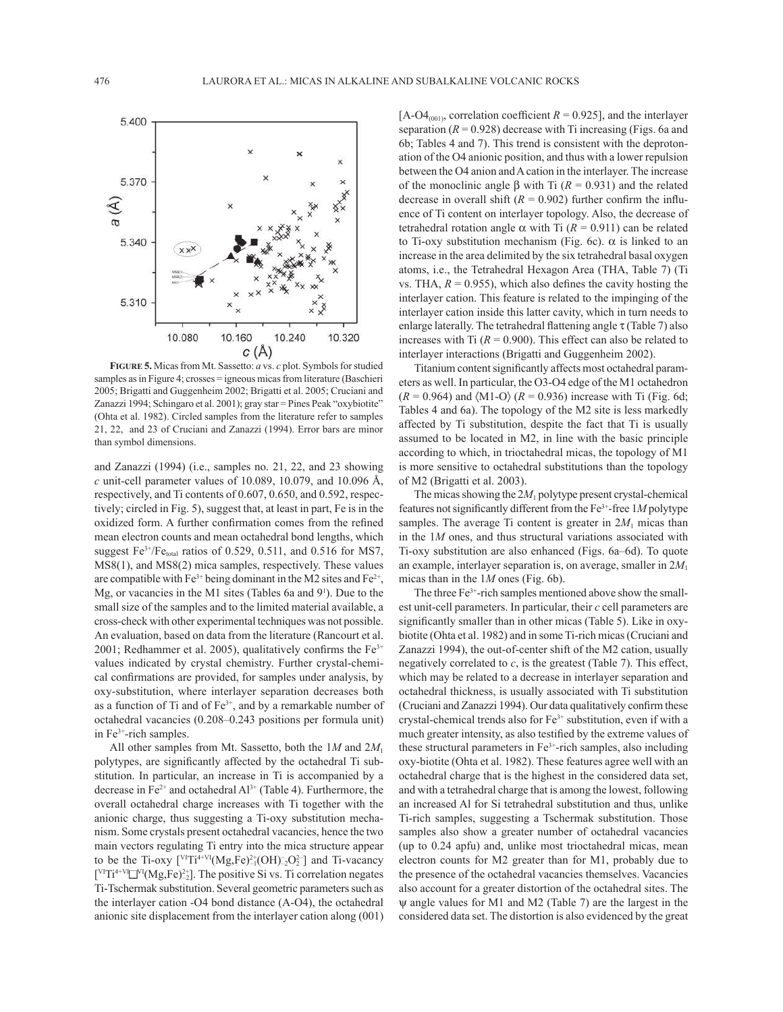

**FIGURE 5.** Micas from Mt. Sassetto: *a* vs. *c* plot. Symbols for studied samples as in Figure 4; crosses = igneous micas from literature (Baschieri 2005; Brigatti and Guggenheim 2002; Brigatti et al. 2005; Cruciani and Zanazzi 1994; Schingaro et al. 2001); gray star = Pines Peak "oxybiotite" (Ohta et al. 1982). Circled samples from the literature refer to samples 21, 22, and 23 of Cruciani and Zanazzi (1994). Error bars are minor than symbol dimensions.

and Zanazzi (1994) (i.e., samples no. 21, 22, and 23 showing *c* unit-cell parameter values of 10.089, 10.079, and 10.096 Å, respectively, and Ti contents of 0.607, 0.650, and 0.592, respectively; circled in Fig. 5), suggest that, at least in part, Fe is in the oxidized form. A further confirmation comes from the refined mean electron counts and mean octahedral bond lengths, which suggest  $Fe^{3+}/Fe$ <sub>total</sub> ratios of 0.529, 0.511, and 0.516 for MS7, MS8(1), and MS8(2) mica samples, respectively. These values are compatible with  $Fe^{3+}$  being dominant in the M2 sites and  $Fe^{2+}$ , Mg, or vacancies in the M1 sites (Tables 6a and 9<sup>1</sup>). Due to the small size of the samples and to the limited material available, a cross-check with other experimental techniques was not possible. An evaluation, based on data from the literature (Rancourt et al. 2001; Redhammer et al. 2005), qualitatively confirms the  $Fe<sup>3+</sup>$ values indicated by crystal chemistry. Further crystal-chemical confirmations are provided, for samples under analysis, by oxy-substitution, where interlayer separation decreases both as a function of Ti and of  $Fe<sup>3+</sup>$ , and by a remarkable number of octahedral vacancies (0.208–0.243 positions per formula unit) in  $Fe<sup>3+</sup>$ -rich samples.

All other samples from Mt. Sassetto, both the 1*M* and 2*M*<sup>1</sup> polytypes, are significantly affected by the octahedral Ti substitution. In particular, an increase in Ti is accompanied by a decrease in  $Fe^{2+}$  and octahedral  $Al^{3+}$  (Table 4). Furthermore, the overall octahedral charge increases with Ti together with the anionic charge, thus suggesting a Ti-oxy substitution mechanism. Some crystals present octahedral vacancies, hence the two main vectors regulating Ti entry into the mica structure appear to be the Ti-oxy  $\left[ \frac{V}{T}T^{i+VI}(Mg,Fe)^{2+}(OH)_{-2}^{\circ}O_2^{2-} \right]$  and Ti-vacancy  $\binom{V}{T}$ <sup>4+VI</sup> $\binom{V}{V}$ <sup>VI</sup>(Mg,Fe)<sup>2+</sup><sub>2</sub>. The positive Si vs. Ti correlation negates Ti-Tschermak substitution. Several geometric parameters such as the interlayer cation -O4 bond distance (A-O4), the octahedral anionic site displacement from the interlayer cation along (001)

 $[A-O4<sub>(001)</sub>, correlation coefficient  $R = 0.925$ ], and the interlayer$ separation  $(R = 0.928)$  decrease with Ti increasing (Figs. 6a and 6b; Tables 4 and 7). This trend is consistent with the deprotonation of the O4 anionic position, and thus with a lower repulsion between the O4 anion and A cation in the interlayer. The increase of the monoclinic angle β with Ti (*R* = 0.931) and the related decrease in overall shift  $(R = 0.902)$  further confirm the influence of Ti content on interlayer topology. Also, the decrease of tetrahedral rotation angle α with Ti  $(R = 0.911)$  can be related to Ti-oxy substitution mechanism (Fig. 6c). α is linked to an increase in the area delimited by the six tetrahedral basal oxygen atoms, i.e., the Tetrahedral Hexagon Area (THA, Table 7) (Ti vs. THA,  $R = 0.955$ ), which also defines the cavity hosting the interlayer cation. This feature is related to the impinging of the interlayer cation inside this latter cavity, which in turn needs to enlarge laterally. The tetrahedral flattening angle  $\tau$  (Table 7) also increases with Ti  $(R = 0.900)$ . This effect can also be related to interlayer interactions (Brigatti and Guggenheim 2002).

Titanium content significantly affects most octahedral parameters as well. In particular, the O3-O4 edge of the M1 octahedron  $(R = 0.964)$  and  $\langle M1-O \rangle$   $(R = 0.936)$  increase with Ti (Fig. 6d; Tables 4 and 6a). The topology of the M2 site is less markedly affected by Ti substitution, despite the fact that Ti is usually assumed to be located in M2, in line with the basic principle according to which, in trioctahedral micas, the topology of M1 is more sensitive to octahedral substitutions than the topology of M2 (Brigatti et al. 2003).

The micas showing the  $2M_1$  polytype present crystal-chemical features not significantly different from the  $Fe^{3+}$ -free  $1M$  polytype samples. The average Ti content is greater in  $2M_1$  micas than in the 1*M* ones, and thus structural variations associated with Ti-oxy substitution are also enhanced (Figs. 6a–6d). To quote an example, interlayer separation is, on average, smaller in 2*M*<sup>1</sup> micas than in the 1*M* ones (Fig. 6b).

The three Fe<sup>3+</sup>-rich samples mentioned above show the smallest unit-cell parameters. In particular, their *c* cell parameters are significantly smaller than in other micas (Table 5). Like in oxybiotite (Ohta et al. 1982) and in some Ti-rich micas (Cruciani and Zanazzi 1994), the out-of-center shift of the M2 cation, usually negatively correlated to *c*, is the greatest (Table 7). This effect, which may be related to a decrease in interlayer separation and octahedral thickness, is usually associated with Ti substitution (Cruciani and Zanazzi 1994). Our data qualitatively confirm these crystal-chemical trends also for Fe3+ substitution, even if with a much greater intensity, as also testified by the extreme values of these structural parameters in  $Fe<sup>3+</sup>$ -rich samples, also including oxy-biotite (Ohta et al. 1982). These features agree well with an octahedral charge that is the highest in the considered data set, and with a tetrahedral charge that is among the lowest, following an increased Al for Si tetrahedral substitution and thus, unlike Ti-rich samples, suggesting a Tschermak substitution. Those samples also show a greater number of octahedral vacancies (up to 0.24 apfu) and, unlike most trioctahedral micas, mean electron counts for M2 greater than for M1, probably due to the presence of the octahedral vacancies themselves. Vacancies also account for a greater distortion of the octahedral sites. The ψ angle values for M1 and M2 (Table 7) are the largest in the considered data set. The distortion is also evidenced by the great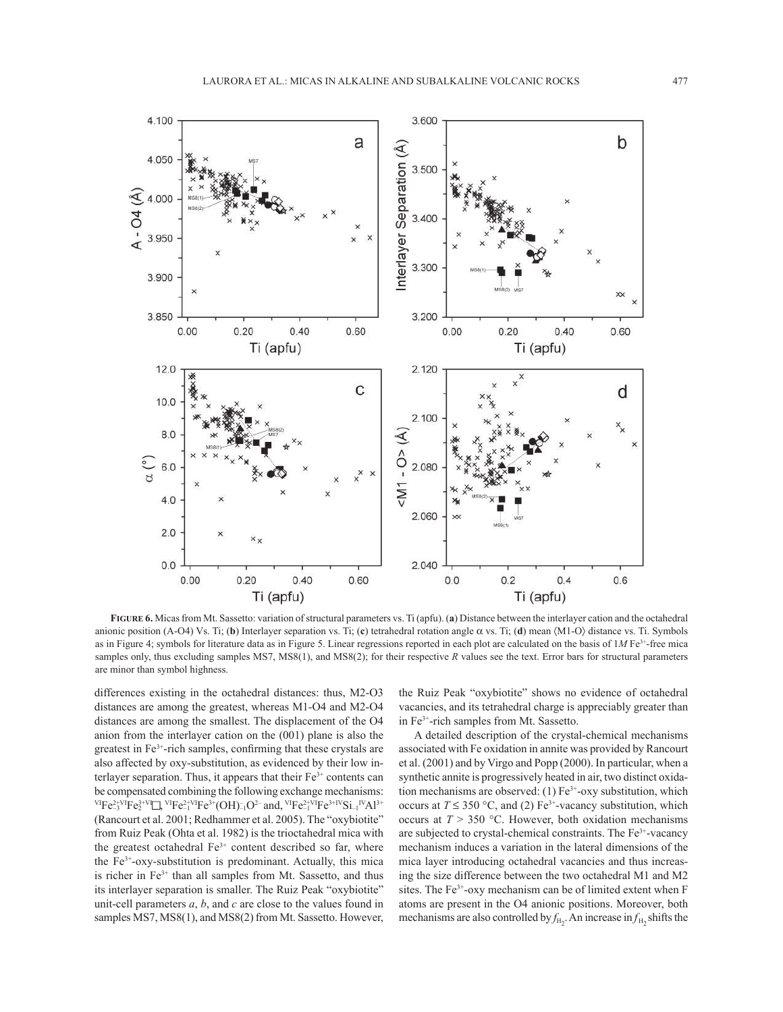

**FIGURE 6.** Micas from Mt. Sassetto: variation of structural parameters vs. Ti (apfu). (**a**) Distance between the interlayer cation and the octahedral anionic position (A-O4) Vs. Ti; (**b**) Interlayer separation vs. Ti; (**c**) tetrahedral rotation angle α vs. Ti; (**d**) mean 〈M1-O〉 distance vs. Ti. Symbols as in Figure 4; symbols for literature data as in Figure 5. Linear regressions reported in each plot are calculated on the basis of 1*M* Fe3+-free mica samples only, thus excluding samples MS7, MS8(1), and MS8(2); for their respective *R* values see the text. Error bars for structural parameters are minor than symbol highness.

differences existing in the octahedral distances: thus, M2-O3 distances are among the greatest, whereas M1-O4 and M2-O4 distances are among the smallest. The displacement of the O4 anion from the interlayer cation on the (001) plane is also the greatest in  $Fe<sup>3+</sup>$ -rich samples, confirming that these crystals are also affected by oxy-substitution, as evidenced by their low interlayer separation. Thus, it appears that their  $Fe<sup>3+</sup>$  contents can be compensated combining the following exchange mechanisms:  ${}^{VI}Fe^{2+VI}_{-3}Fe^{3+VI}_{2} \square, {}^{VI}Fe^{2+VI}Fe^{3+} (OH)_{-1}^- O^{2-}$  and,  ${}^{VI}Fe^{2+VI}Fe^{3+IV}Si_{-1}{}^{IV}Al^{3+}$ (Rancourt et al. 2001; Redhammer et al. 2005). The "oxybiotite" from Ruiz Peak (Ohta et al. 1982) is the trioctahedral mica with the greatest octahedral  $Fe<sup>3+</sup>$  content described so far, where the  $Fe<sup>3+</sup>-oxy-substitution$  is predominant. Actually, this mica is richer in Fe<sup>3+</sup> than all samples from Mt. Sassetto, and thus its interlayer separation is smaller. The Ruiz Peak "oxybiotite" unit-cell parameters *a*, *b*, and *c* are close to the values found in samples MS7, MS8(1), and MS8(2) from Mt. Sassetto. However,

the Ruiz Peak "oxybiotite" shows no evidence of octahedral vacancies, and its tetrahedral charge is appreciably greater than in Fe3+-rich samples from Mt. Sassetto.

A detailed description of the crystal-chemical mechanisms associated with Fe oxidation in annite was provided by Rancourt et al. (2001) and by Virgo and Popp (2000). In particular, when a synthetic annite is progressively heated in air, two distinct oxidation mechanisms are observed: (1)  $Fe^{3+}$ -oxy substitution, which occurs at  $T \le 350$  °C, and (2) Fe<sup>3+</sup>-vacancy substitution, which occurs at  $T > 350$  °C. However, both oxidation mechanisms are subjected to crystal-chemical constraints. The Fe3+-vacancy mechanism induces a variation in the lateral dimensions of the mica layer introducing octahedral vacancies and thus increasing the size difference between the two octahedral M1 and M2 sites. The  $Fe<sup>3+</sup>$ -oxy mechanism can be of limited extent when F atoms are present in the O4 anionic positions. Moreover, both mechanisms are also controlled by  $f_{\text{H}_2}$ . An increase in  $f_{\text{H}_2}$  shifts the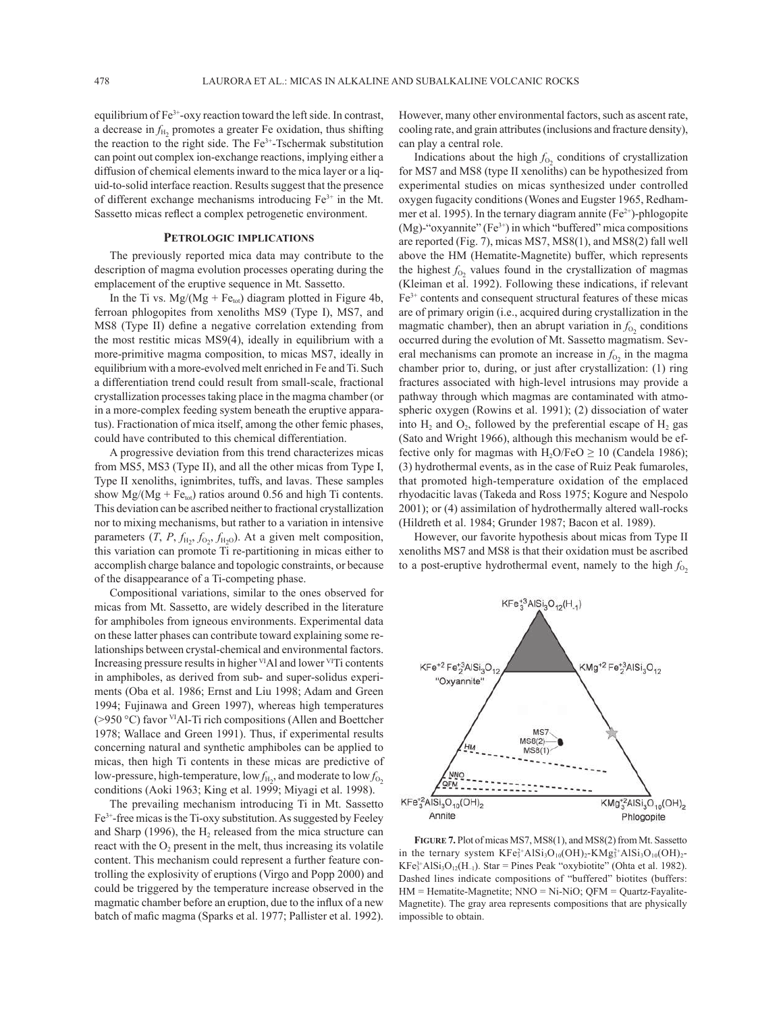equilibrium of Fe<sup>3+</sup>-oxy reaction toward the left side. In contrast, a decrease in  $f_{\text{H}_2}$  promotes a greater Fe oxidation, thus shifting the reaction to the right side. The  $Fe<sup>3+</sup>$ -Tschermak substitution can point out complex ion-exchange reactions, implying either a diffusion of chemical elements inward to the mica layer or a liquid-to-solid interface reaction. Results suggest that the presence of different exchange mechanisms introducing  $Fe<sup>3+</sup>$  in the Mt. Sassetto micas reflect a complex petrogenetic environment.

## **PETROLOGIC IMPLICATIONS**

The previously reported mica data may contribute to the description of magma evolution processes operating during the emplacement of the eruptive sequence in Mt. Sassetto.

In the Ti vs.  $Mg/(Mg + Fe<sub>tot</sub>)$  diagram plotted in Figure 4b, ferroan phlogopites from xenoliths MS9 (Type I), MS7, and MS8 (Type II) define a negative correlation extending from the most restitic micas MS9(4), ideally in equilibrium with a more-primitive magma composition, to micas MS7, ideally in equilibrium with a more-evolved melt enriched in Fe and Ti. Such a differentiation trend could result from small-scale, fractional crystallization processes taking place in the magma chamber (or in a more-complex feeding system beneath the eruptive apparatus). Fractionation of mica itself, among the other femic phases, could have contributed to this chemical differentiation.

A progressive deviation from this trend characterizes micas from MS5, MS3 (Type II), and all the other micas from Type I, Type II xenoliths, ignimbrites, tuffs, and lavas. These samples show  $Mg/(Mg + Fe<sub>tot</sub>)$  ratios around 0.56 and high Ti contents. This deviation can be ascribed neither to fractional crystallization nor to mixing mechanisms, but rather to a variation in intensive parameters  $(T, P, f_{H_2}, f_{O_2}, f_{H_2O})$ . At a given melt composition, this variation can promote Ti re-partitioning in micas either to accomplish charge balance and topologic constraints, or because of the disappearance of a Ti-competing phase.

Compositional variations, similar to the ones observed for micas from Mt. Sassetto, are widely described in the literature for amphiboles from igneous environments. Experimental data on these latter phases can contribute toward explaining some relationships between crystal-chemical and environmental factors. Increasing pressure results in higher <sup>VI</sup>Al and lower <sup>VI</sup>Ti contents in amphiboles, as derived from sub- and super-solidus experiments (Oba et al. 1986; Ernst and Liu 1998; Adam and Green 1994; Fujinawa and Green 1997), whereas high temperatures (>950 °C) favor VIAl-Ti rich compositions (Allen and Boettcher 1978; Wallace and Green 1991). Thus, if experimental results concerning natural and synthetic amphiboles can be applied to micas, then high Ti contents in these micas are predictive of low-pressure, high-temperature, low  $f_{\text{H}_2}$ , and moderate to low  $f_{\text{O}_2}$ conditions (Aoki 1963; King et al. 1999; Miyagi et al. 1998).

The prevailing mechanism introducing Ti in Mt. Sassetto Fe3+-free micas is the Ti-oxy substitution. As suggested by Feeley and Sharp (1996), the  $H_2$  released from the mica structure can react with the  $O_2$  present in the melt, thus increasing its volatile content. This mechanism could represent a further feature controlling the explosivity of eruptions (Virgo and Popp 2000) and could be triggered by the temperature increase observed in the magmatic chamber before an eruption, due to the influx of a new batch of mafic magma (Sparks et al. 1977; Pallister et al. 1992).

However, many other environmental factors, such as ascent rate, cooling rate, and grain attributes (inclusions and fracture density), can play a central role.

Indications about the high  $f_{O_2}$  conditions of crystallization for MS7 and MS8 (type II xenoliths) can be hypothesized from experimental studies on micas synthesized under controlled oxygen fugacity conditions (Wones and Eugster 1965, Redhammer et al. 1995). In the ternary diagram annite  $(Fe<sup>2+</sup>)$ -phlogopite (Mg)-"oxyannite" ( $Fe^{3+}$ ) in which "buffered" mica compositions are reported (Fig. 7), micas MS7, MS8(1), and MS8(2) fall well above the HM (Hematite-Magnetite) buffer, which represents the highest  $f_{O_2}$  values found in the crystallization of magmas (Kleiman et al. 1992). Following these indications, if relevant Fe3+ contents and consequent structural features of these micas are of primary origin (i.e., acquired during crystallization in the magmatic chamber), then an abrupt variation in  $f_{O_2}$  conditions occurred during the evolution of Mt. Sassetto magmatism. Several mechanisms can promote an increase in  $f_{O_2}$  in the magma chamber prior to, during, or just after crystallization: (1) ring fractures associated with high-level intrusions may provide a pathway through which magmas are contaminated with atmospheric oxygen (Rowins et al. 1991); (2) dissociation of water into  $H_2$  and  $O_2$ , followed by the preferential escape of  $H_2$  gas (Sato and Wright 1966), although this mechanism would be effective only for magmas with  $H_2O/FeO \ge 10$  (Candela 1986); (3) hydrothermal events, as in the case of Ruiz Peak fumaroles, that promoted high-temperature oxidation of the emplaced rhyodacitic lavas (Takeda and Ross 1975; Kogure and Nespolo 2001); or (4) assimilation of hydrothermally altered wall-rocks (Hildreth et al. 1984; Grunder 1987; Bacon et al. 1989).

However, our favorite hypothesis about micas from Type II xenoliths MS7 and MS8 is that their oxidation must be ascribed to a post-eruptive hydrothermal event, namely to the high  $f_{O<sub>2</sub>}$ 



**FIGURE 7.** Plot of micas MS7, MS8(1), and MS8(2) from Mt. Sassetto in the ternary system  $KF\epsilon_3^{2+}AISi_3O_{10}(OH)_2-KMg_3^{2+}AISi_3O_{10}(OH)_2$ - $KF\mathbf{e}_3^{3+}AISi_3O_{12}(H_{-1})$ . Star = Pines Peak "oxybiotite" (Ohta et al. 1982). Dashed lines indicate compositions of "buffered" biotites (buffers: HM = Hematite-Magnetite; NNO = Ni-NiO; QFM = Quartz-Fayalite-Magnetite). The gray area represents compositions that are physically impossible to obtain.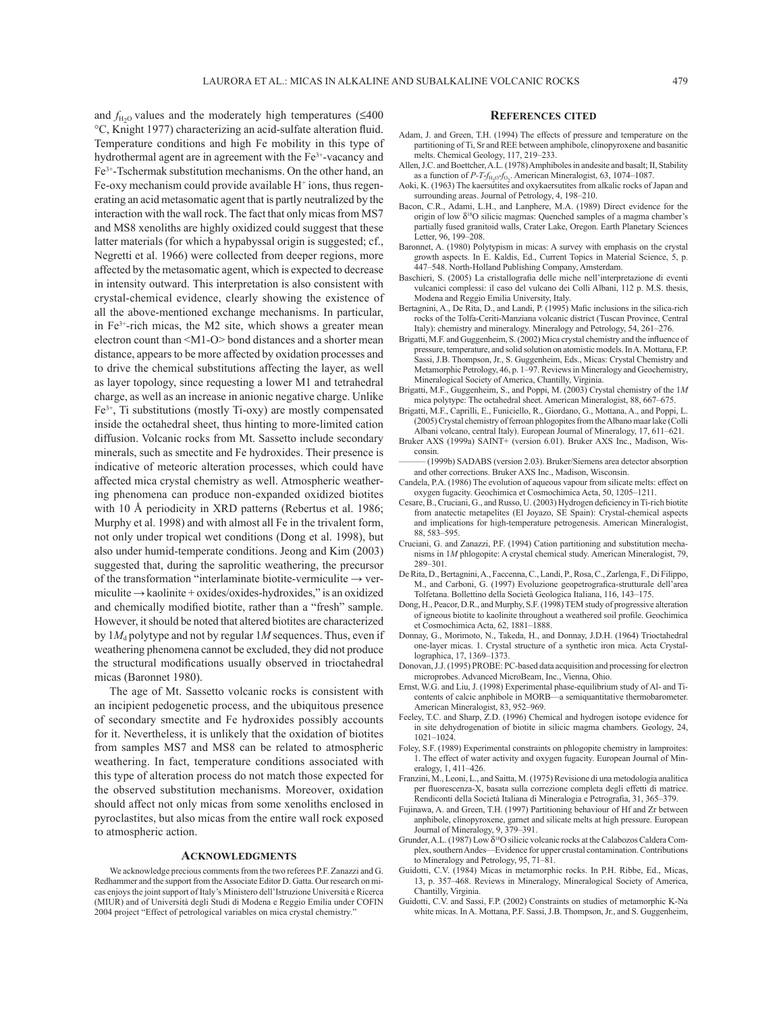and  $f_{H_2O}$  values and the moderately high temperatures ( $\leq 400$ °C, Knight 1977) characterizing an acid-sulfate alteration fluid. Temperature conditions and high Fe mobility in this type of hydrothermal agent are in agreement with the Fe<sup>3+</sup>-vacancy and Fe3+-Tschermak substitution mechanisms. On the other hand, an  $Fe-oxy mechanism could provide available  $H^+$  ions, thus regen$ erating an acid metasomatic agent that is partly neutralized by the interaction with the wall rock. The fact that only micas from MS7 and MS8 xenoliths are highly oxidized could suggest that these latter materials (for which a hypabyssal origin is suggested; cf., Negretti et al. 1966) were collected from deeper regions, more affected by the metasomatic agent, which is expected to decrease in intensity outward. This interpretation is also consistent with crystal-chemical evidence, clearly showing the existence of all the above-mentioned exchange mechanisms. In particular, in  $Fe<sup>3+</sup>$ -rich micas, the M2 site, which shows a greater mean electron count than <M1-O> bond distances and a shorter mean distance, appears to be more affected by oxidation processes and to drive the chemical substitutions affecting the layer, as well as layer topology, since requesting a lower M1 and tetrahedral charge, as well as an increase in anionic negative charge. Unlike  $Fe<sup>3+</sup>$ , Ti substitutions (mostly Ti-oxy) are mostly compensated inside the octahedral sheet, thus hinting to more-limited cation diffusion. Volcanic rocks from Mt. Sassetto include secondary minerals, such as smectite and Fe hydroxides. Their presence is indicative of meteoric alteration processes, which could have affected mica crystal chemistry as well. Atmospheric weathering phenomena can produce non-expanded oxidized biotites with 10 Å periodicity in XRD patterns (Rebertus et al. 1986; Murphy et al. 1998) and with almost all Fe in the trivalent form, not only under tropical wet conditions (Dong et al. 1998), but also under humid-temperate conditions. Jeong and Kim (2003) suggested that, during the saprolitic weathering, the precursor of the transformation "interlaminate biotite-vermiculite  $\rightarrow$  vermiculite → kaolinite + oxides/oxides-hydroxides," is an oxidized and chemically modified biotite, rather than a "fresh" sample. However, it should be noted that altered biotites are characterized by  $1M_d$  polytype and not by regular  $1M$  sequences. Thus, even if weathering phenomena cannot be excluded, they did not produce the structural modifications usually observed in trioctahedral micas (Baronnet 1980).

The age of Mt. Sassetto volcanic rocks is consistent with an incipient pedogenetic process, and the ubiquitous presence of secondary smectite and Fe hydroxides possibly accounts for it. Nevertheless, it is unlikely that the oxidation of biotites from samples MS7 and MS8 can be related to atmospheric weathering. In fact, temperature conditions associated with this type of alteration process do not match those expected for the observed substitution mechanisms. Moreover, oxidation should affect not only micas from some xenoliths enclosed in pyroclastites, but also micas from the entire wall rock exposed to atmospheric action.

#### **ACKNOWLEDGMENTS**

We acknowledge precious comments from the two referees P.F. Zanazzi and G. Redhammer and the support from the Associate Editor D. Gatta. Our research on micas enjoys the joint support of Italy's Ministero dell'Istruzione Università e Ricerca (MIUR) and of Università degli Studi di Modena e Reggio Emilia under COFIN 2004 project "Effect of petrological variables on mica crystal chemistry."

#### **REFERENCES CITED**

- Adam, J. and Green, T.H. (1994) The effects of pressure and temperature on the partitioning of Ti, Sr and REE between amphibole, clinopyroxene and basanitic melts. Chemical Geology, 117, 219–233.
- Allen, J.C. and Boettcher, A.L. (1978) Amphiboles in andesite and basalt; II, Stability as a function of *P-T-f*<sub>H<sub>2</sub>O-*f*<sub>O2</sub>. American Mineralogist, 63, 1074–1087.</sub>
- Aoki, K. (1963) The kaersutites and oxykaersutites from alkalic rocks of Japan and surrounding areas. Journal of Petrology, 4, 198–210.
- Bacon, C.R., Adami, L.H., and Lanphere, M.A. (1989) Direct evidence for the origin of low  $\delta^{18}O$  silicic magmas: Quenched samples of a magma chamber's partially fused granitoid walls, Crater Lake, Oregon. Earth Planetary Sciences Letter, 96, 199–208.
- Baronnet, A. (1980) Polytypism in micas: A survey with emphasis on the crystal growth aspects. In E. Kaldis, Ed., Current Topics in Material Science, 5, p. 447–548. North-Holland Publishing Company, Amsterdam.
- Baschieri, S. (2005) La cristallografia delle miche nell'interpretazione di eventi vulcanici complessi: il caso del vulcano dei Colli Albani, 112 p. M.S. thesis, Modena and Reggio Emilia University, Italy.
- Bertagnini, A., De Rita, D., and Landi, P. (1995) Mafic inclusions in the silica-rich rocks of the Tolfa-Ceriti-Manziana volcanic district (Tuscan Province, Central Italy): chemistry and mineralogy. Mineralogy and Petrology, 54, 261–276.
- Brigatti, M.F. and Guggenheim, S. (2002) Mica crystal chemistry and the influence of pressure, temperature, and solid solution on atomistic models. In A. Mottana, F.P. Sassi, J.B. Thompson, Jr., S. Guggenheim, Eds., Micas: Crystal Chemistry and Metamorphic Petrology, 46, p. 1–97. Reviews in Mineralogy and Geochemistry, Mineralogical Society of America, Chantilly, Virginia.
- Brigatti, M.F., Guggenheim, S., and Poppi, M. (2003) Crystal chemistry of the 1*M* mica polytype: The octahedral sheet. American Mineralogist, 88, 667–675.
- Brigatti, M.F., Caprilli, E., Funiciello, R., Giordano, G., Mottana, A., and Poppi, L. (2005) Crystal chemistry of ferroan phlogopites from the Albano maar lake (Colli Albani volcano, central Italy). European Journal of Mineralogy, 17, 611–621.
- Bruker AXS (1999a) SAINT+ (version 6.01). Bruker AXS Inc., Madison, Wisconsin.
- (1999b) SADABS (version 2.03). Bruker/Siemens area detector absorption and other corrections. Bruker AXS Inc., Madison, Wisconsin.
- Candela, P.A. (1986) The evolution of aqueous vapour from silicate melts: effect on oxygen fugacity. Geochimica et Cosmochimica Acta, 50, 1205–1211.
- Cesare, B., Cruciani, G., and Russo, U. (2003) Hydrogen deficiency in Ti-rich biotite from anatectic metapelites (El Joyazo, SE Spain): Crystal-chemical aspects and implications for high-temperature petrogenesis. American Mineralogist, 88, 583–595.
- Cruciani, G. and Zanazzi, P.F. (1994) Cation partitioning and substitution mechanisms in 1*M* phlogopite: A crystal chemical study. American Mineralogist, 79, 289–301.
- De Rita, D., Bertagnini, A., Faccenna, C., Landi, P., Rosa, C., Zarlenga, F., Di Filippo, M., and Carboni, G. (1997) Evoluzione geopetrografica-strutturale dell'area Tolfetana. Bollettino della Società Geologica Italiana, 116, 143–175.
- Dong, H., Peacor, D.R., and Murphy, S.F. (1998) TEM study of progressive alteration of igneous biotite to kaolinite throughout a weathered soil profile. Geochimica et Cosmochimica Acta, 62, 1881–1888.
- Donnay, G., Morimoto, N., Takeda, H., and Donnay, J.D.H. (1964) Trioctahedral one-layer micas. 1. Crystal structure of a synthetic iron mica. Acta Crystallographica, 17, 1369–1373.
- Donovan, J.J. (1995) PROBE: PC-based data acquisition and processing for electron microprobes. Advanced MicroBeam, Inc., Vienna, Ohio.
- Ernst, W.G. and Liu, J. (1998) Experimental phase-equilibrium study of Al- and Ticontents of calcic anphibole in MORB—a semiquantitative thermobarometer. American Mineralogist, 83, 952–969.
- Feeley, T.C. and Sharp, Z.D. (1996) Chemical and hydrogen isotope evidence for in site dehydrogenation of biotite in silicic magma chambers. Geology, 24, 1021–1024.
- Foley, S.F. (1989) Experimental constraints on phlogopite chemistry in lamproites: 1. The effect of water activity and oxygen fugacity. European Journal of Mineralogy, 1, 411–426.
- Franzini, M., Leoni, L., and Saitta, M. (1975) Revisione di una metodologia analitica per fluorescenza-X, basata sulla correzione completa degli effetti di matrice. Rendiconti della Società Italiana di Mineralogia e Petrografia, 31, 365-379.
- Fujinawa, A. and Green, T.H. (1997) Partitioning behaviour of Hf and Zr between anphibole, clinopyroxene, garnet and silicate melts at high pressure. European Journal of Mineralogy, 9, 379–391.
- Grunder, A.L. (1987) Low δ18O silicic volcanic rocks at the Calabozos Caldera Complex, southern Andes—Evidence for upper crustal contamination. Contributions to Mineralogy and Petrology, 95, 71–81.
- Guidotti, C.V. (1984) Micas in metamorphic rocks. In P.H. Ribbe, Ed., Micas, 13, p. 357–468. Reviews in Mineralogy, Mineralogical Society of America, Chantilly, Virginia.
- Guidotti, C.V. and Sassi, F.P. (2002) Constraints on studies of metamorphic K-Na white micas. In A. Mottana, P.F. Sassi, J.B. Thompson, Jr., and S. Guggenheim,